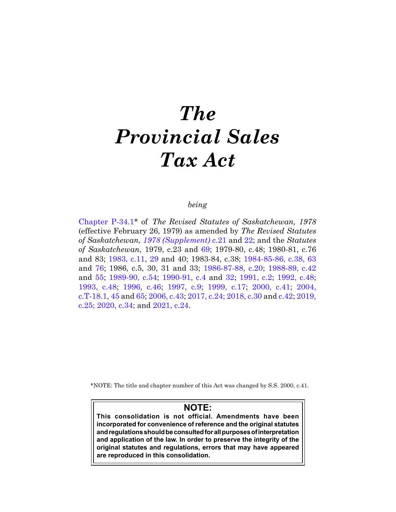# *The Provincial Sales Tax Act*

# *being*

[Chapter P-34.1](https://publications.saskatchewan.ca:443/api/v1/products/27322/formats/34478/download)\* of *The Revised Statutes of Saskatchewan, 1978*  (effective February 26, 1979) as amended by *The Revised Statutes of Saskatchewan, [1978 \(Supplement\)](https://publications.saskatchewan.ca:443/api/v1/products/65607/formats/72993/download)* c.21 and [22](https://publications.saskatchewan.ca:443/api/v1/products/65608/formats/72995/download); and the *Statutes of Saskatchewan*, 1979, c.23 and [69](https://publications.saskatchewan.ca:443/api/v1/products/67865/formats/75381/download); 1979-80, c.48; 1980-81, c.76 and 83; [1983, c.11](https://publications.saskatchewan.ca:443/api/v1/products/67869/formats/75389/download), [29](https://publications.saskatchewan.ca:443/api/v1/products/30609/formats/37591/download) and 40; 1983-84, c.38; [1984-85-86, c.38,](https://publications.saskatchewan.ca:443/api/v1/products/104986/formats/116989/download) [63](https://publications.saskatchewan.ca:443/api/v1/products/105898/formats/118312/download)  and [76;](https://publications.saskatchewan.ca:443/api/v1/products/106297/formats/118887/download) 1986, c.5, 30, 31 and 33; [1986-87-88, c.20](https://publications.saskatchewan.ca:443/api/v1/products/104348/formats/116169/download); [1988-89, c.42](https://publications.saskatchewan.ca:443/api/v1/products/103564/formats/114897/download)  and [55;](https://publications.saskatchewan.ca:443/api/v1/products/103580/formats/114924/download) [1989-90, c.54;](https://publications.saskatchewan.ca:443/api/v1/products/24596/formats/31624/download) [1990-91, c.4](https://publications.saskatchewan.ca:443/api/v1/products/24613/formats/31657/download) and [32](https://publications.saskatchewan.ca:443/api/v1/products/24923/formats/32064/download); [1991, c.2;](https://publications.saskatchewan.ca:443/api/v1/products/25054/formats/32241/download) [1992, c.48;](https://publications.saskatchewan.ca:443/api/v1/products/25244/formats/32609/download) [1993, c.48](https://publications.saskatchewan.ca:443/api/v1/products/26642/formats/33854/download); [1996, c.46](https://publications.saskatchewan.ca:443/api/v1/products/25351/formats/32818/download); [1997, c.9](https://publications.saskatchewan.ca:443/api/v1/products/3660/formats/6910/download); [1999, c.17](https://publications.saskatchewan.ca:443/api/v1/products/3563/formats/6716/download); [2000, c.41;](https://publications.saskatchewan.ca:443/api/v1/products/3497/formats/6584/download) [2004,](https://publications.saskatchewan.ca:443/api/v1/products/9561/formats/14495/download)  [c.T-18.1,](https://publications.saskatchewan.ca:443/api/v1/products/9561/formats/14495/download) [45](https://publications.saskatchewan.ca:443/api/v1/products/9364/formats/14111/download) and [65;](https://publications.saskatchewan.ca:443/api/v1/products/9537/formats/14450/download) [2006, c.43](https://publications.saskatchewan.ca:443/api/v1/products/22803/formats/29180/download); [2017, c.24;](https://publications.saskatchewan.ca:443/api/v1/products/85865/formats/99476/download) [2018, c.30](https://publications.saskatchewan.ca:443/api/v1/products/90519/formats/107417/download) and [c.42](https://publications.saskatchewan.ca:443/api/v1/products/90531/formats/107441/download); [2019,](https://publications.saskatchewan.ca:443/api/v1/products/101569/formats/112303/download)  [c.25;](https://publications.saskatchewan.ca:443/api/v1/products/101569/formats/112303/download) [2020, c.34;](https://publications.saskatchewan.ca:443/api/v1/products/107454/formats/120503/download) and [2021, c.24.](https://publications.saskatchewan.ca:443/api/v1/products/113456/formats/127587/download)

\*NOTE: The title and chapter number of this Act was changed by S.S. 2000, c.41.

# **NOTE:**

**This consolidation is not official. Amendments have been incorporated for convenience of reference and the original statutes and regulations should be consulted for all purposes of interpretation and application of the law. In order to preserve the integrity of the original statutes and regulations, errors that may have appeared are reproduced in this consolidation.**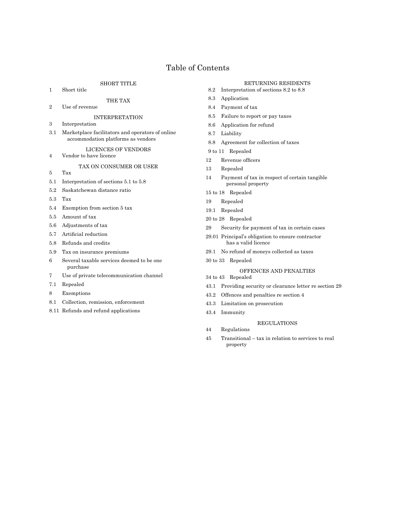# Table of Contents

#### SHORT TITLE

1 Short title

# THE TAX

2 Use of revenue

#### INTERPRETATION

- 3 Interpretation
- 3.1 Marketplace facilitators and operators of online accommodation platforms as vendors

#### LICENCES OF VENDORS

4 Vendor to have licence

#### TAX ON CONSUMER OR USER

- 5 Tax
- 5.1 Interpretation of sections 5.1 to 5.8
- 5.2 Saskatchewan distance ratio
- 5.3 Tax
- 5.4 Exemption from section 5 tax
- 5.5 Amount of tax
- 5.6 Adjustments of tax
- 5.7 Artificial reduction
- 5.8 Refunds and credits
- 5.9 Tax on insurance premiums
- 6 Several taxable services deemed to be one purchase
- 7 Use of private telecommunication channel
- 7.1 Repealed
- 8 Exemptions
- 8.1 Collection, remission, enforcement
- 8.11 Refunds and refund applications

#### RETURNING RESIDENTS

- 8.2 Interpretation of sections 8.2 to 8.8
- 8.3 Application
- 8.4 Payment of tax
- 8.5 Failure to report or pay taxes
- 8.6 Application for refund
- 8.7 Liability
- 8.8 Agreement for collection of taxes
- 9 to 11 Repealed
- 12 Revenue officers
- 13 Repealed
- 14 Payment of tax in respect of certain tangible personal property
- 15 to 18 Repealed
- 19 Repealed
- 19.1 Repealed
- 20 to 28 Repealed
- 29 Security for payment of tax in certain cases
- 29.01 Principal's obligation to ensure contractor has a valid licence
- 29.1 No refund of moneys collected as taxes
- 30 to 33 Repealed

#### OFFENCES AND PENALTIES

- 34 to 43 Repealed
- 43.1 Providing security or clearance letter re section 29
- 43.2 Offences and penalties re section 4
- 43.3 Limitation on prosecution
- 43.4 Immunity

#### REGULATIONS

- 44 Regulations
- 45 Transitional tax in relation to services to real property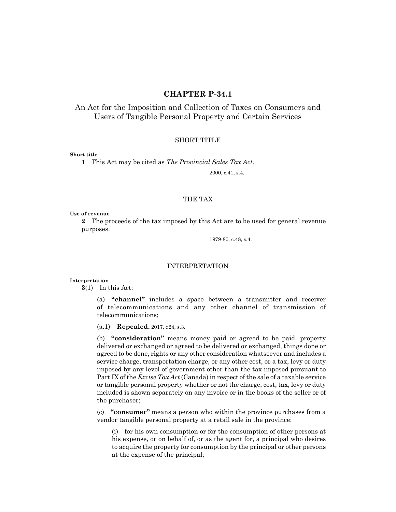# **CHAPTER P-34.1**

# An Act for the Imposition and Collection of Taxes on Consumers and Users of Tangible Personal Property and Certain Services

# SHORT TITLE

## **Short title**

**1** This Act may be cited as *The Provincial Sales Tax Act*.

2000, c.41, s.4.

# THE TAX

**Use of revenue**

**2** The proceeds of the tax imposed by this Act are to be used for general revenue purposes.

1979-80, c.48, s.4.

## INTERPRETATION

## **Interpretation**

**3**(1) In this Act:

(a) **"channel"** includes a space between a transmitter and receiver of telecommunications and any other channel of transmission of telecommunications;

(a.1) **Repealed.** 2017, c24, s.3.

(b) **"consideration"** means money paid or agreed to be paid, property delivered or exchanged or agreed to be delivered or exchanged, things done or agreed to be done, rights or any other consideration whatsoever and includes a service charge, transportation charge, or any other cost, or a tax, levy or duty imposed by any level of government other than the tax imposed pursuant to Part IX of the *Excise Tax Act* (Canada) in respect of the sale of a taxable service or tangible personal property whether or not the charge, cost, tax, levy or duty included is shown separately on any invoice or in the books of the seller or of the purchaser;

(c) **"consumer"** means a person who within the province purchases from a vendor tangible personal property at a retail sale in the province:

(i) for his own consumption or for the consumption of other persons at his expense, or on behalf of, or as the agent for, a principal who desires to acquire the property for consumption by the principal or other persons at the expense of the principal;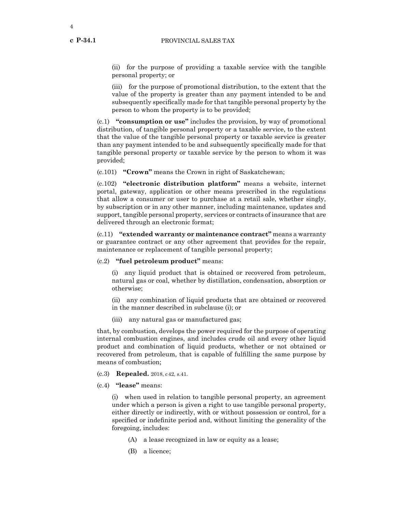**c P-34.1**

(ii) for the purpose of providing a taxable service with the tangible personal property; or

(iii) for the purpose of promotional distribution, to the extent that the value of the property is greater than any payment intended to be and subsequently specifically made for that tangible personal property by the person to whom the property is to be provided;

(c.1) **"consumption or use"** includes the provision, by way of promotional distribution, of tangible personal property or a taxable service, to the extent that the value of the tangible personal property or taxable service is greater than any payment intended to be and subsequently specifically made for that tangible personal property or taxable service by the person to whom it was provided;

(c.101) **"Crown"** means the Crown in right of Saskatchewan;

(c.102) **"electronic distribution platform"** means a website, internet portal, gateway, application or other means prescribed in the regulations that allow a consumer or user to purchase at a retail sale, whether singly, by subscription or in any other manner, including maintenance, updates and support, tangible personal property, services or contracts of insurance that are delivered through an electronic format;

(c.11) **"extended warranty or maintenance contract"** means a warranty or guarantee contract or any other agreement that provides for the repair, maintenance or replacement of tangible personal property;

#### (c.2) **"fuel petroleum product"** means:

(i) any liquid product that is obtained or recovered from petroleum, natural gas or coal, whether by distillation, condensation, absorption or otherwise;

(ii) any combination of liquid products that are obtained or recovered in the manner described in subclause (i); or

(iii) any natural gas or manufactured gas;

that, by combustion, develops the power required for the purpose of operating internal combustion engines, and includes crude oil and every other liquid product and combination of liquid products, whether or not obtained or recovered from petroleum, that is capable of fulfilling the same purpose by means of combustion;

- (c.3) **Repealed.** 2018, c42, s.41.
- (c.4) **"lease"** means:

(i) when used in relation to tangible personal property, an agreement under which a person is given a right to use tangible personal property, either directly or indirectly, with or without possession or control, for a specified or indefinite period and, without limiting the generality of the foregoing, includes:

- (A) a lease recognized in law or equity as a lease;
- (B) a licence;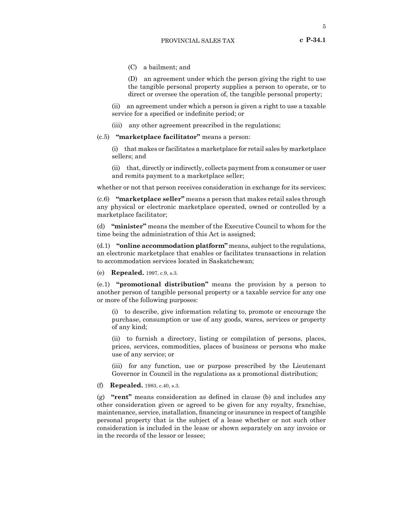(C) a bailment; and

(D) an agreement under which the person giving the right to use the tangible personal property supplies a person to operate, or to direct or oversee the operation of, the tangible personal property;

(ii) an agreement under which a person is given a right to use a taxable service for a specified or indefinite period; or

- (iii) any other agreement prescribed in the regulations;
- (c.5) **"marketplace facilitator"** means a person:

(i) that makes or facilitates a marketplace for retail sales by marketplace sellers; and

(ii) that, directly or indirectly, collects payment from a consumer or user and remits payment to a marketplace seller;

whether or not that person receives consideration in exchange for its services;

(c.6) **"marketplace seller"** means a person that makes retail sales through any physical or electronic marketplace operated, owned or controlled by a marketplace facilitator;

(d) **"minister"** means the member of the Executive Council to whom for the time being the administration of this Act is assigned;

(d.1) **"online accommodation platform"** means, subject to the regulations, an electronic marketplace that enables or facilitates transactions in relation to accommodation services located in Saskatchewan;

(e) **Repealed.** 1997, c.9, s.3.

(e.1) **"promotional distribution"** means the provision by a person to another person of tangible personal property or a taxable service for any one or more of the following purposes:

(i) to describe, give information relating to, promote or encourage the purchase, consumption or use of any goods, wares, services or property of any kind;

(ii) to furnish a directory, listing or compilation of persons, places, prices, services, commodities, places of business or persons who make use of any service; or

(iii) for any function, use or purpose prescribed by the Lieutenant Governor in Council in the regulations as a promotional distribution;

(f) **Repealed.** 1983, c.40, s.3.

(g) **"rent"** means consideration as defined in clause (b) and includes any other consideration given or agreed to be given for any royalty, franchise, maintenance, service, installation, financing or insurance in respect of tangible personal property that is the subject of a lease whether or not such other consideration is included in the lease or shown separately on any invoice or in the records of the lessor or lessee;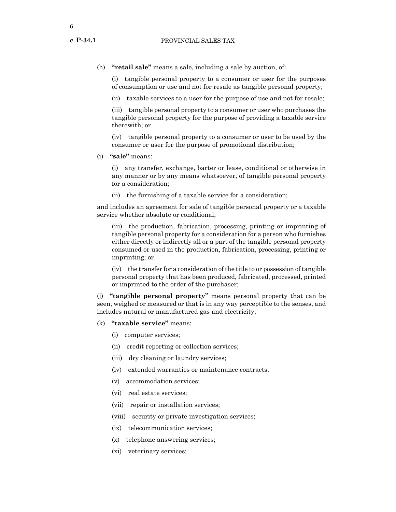**c P-34.1**

(h) **"retail sale"** means a sale, including a sale by auction, of:

(i) tangible personal property to a consumer or user for the purposes of consumption or use and not for resale as tangible personal property;

(ii) taxable services to a user for the purpose of use and not for resale;

(iii) tangible personal property to a consumer or user who purchases the tangible personal property for the purpose of providing a taxable service therewith; or

(iv) tangible personal property to a consumer or user to be used by the consumer or user for the purpose of promotional distribution;

(i) **"sale"** means:

(i) any transfer, exchange, barter or lease, conditional or otherwise in any manner or by any means whatsoever, of tangible personal property for a consideration;

(ii) the furnishing of a taxable service for a consideration;

and includes an agreement for sale of tangible personal property or a taxable service whether absolute or conditional;

(iii) the production, fabrication, processing, printing or imprinting of tangible personal property for a consideration for a person who furnishes either directly or indirectly all or a part of the tangible personal property consumed or used in the production, fabrication, processing, printing or imprinting; or

(iv) the transfer for a consideration of the title to or possession of tangible personal property that has been produced, fabricated, processed, printed or imprinted to the order of the purchaser;

(j) **"tangible personal property"** means personal property that can be seen, weighed or measured or that is in any way perceptible to the senses, and includes natural or manufactured gas and electricity;

- (k) **"taxable service"** means:
	- (i) computer services;
	- (ii) credit reporting or collection services;
	- (iii) dry cleaning or laundry services;
	- (iv) extended warranties or maintenance contracts;
	- (v) accommodation services;
	- (vi) real estate services;
	- (vii) repair or installation services;
	- (viii) security or private investigation services;
	- (ix) telecommunication services;
	- (x) telephone answering services;
	- (xi) veterinary services;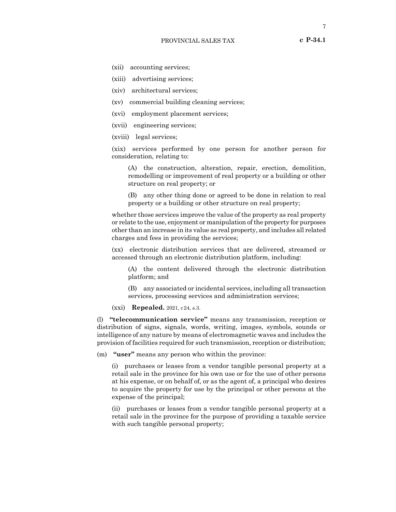- (xii) accounting services;
- (xiii) advertising services;
- (xiv) architectural services;
- (xv) commercial building cleaning services;
- (xvi) employment placement services;
- (xvii) engineering services;
- (xviii) legal services;

(xix) services performed by one person for another person for consideration, relating to:

(A) the construction, alteration, repair, erection, demolition, remodelling or improvement of real property or a building or other structure on real property; or

(B) any other thing done or agreed to be done in relation to real property or a building or other structure on real property;

whether those services improve the value of the property as real property or relate to the use, enjoyment or manipulation of the property for purposes other than an increase in its value as real property, and includes all related charges and fees in providing the services;

(xx) electronic distribution services that are delivered, streamed or accessed through an electronic distribution platform, including:

(A) the content delivered through the electronic distribution platform; and

(B) any associated or incidental services, including all transaction services, processing services and administration services;

(xxi) **Repealed.** 2021, c24, s.3.

(l) **"telecommunication service"** means any transmission, reception or distribution of signs, signals, words, writing, images, symbols, sounds or intelligence of any nature by means of electromagnetic waves and includes the provision of facilities required for such transmission, reception or distribution;

(m) **"user"** means any person who within the province:

(i) purchases or leases from a vendor tangible personal property at a retail sale in the province for his own use or for the use of other persons at his expense, or on behalf of, or as the agent of, a principal who desires to acquire the property for use by the principal or other persons at the expense of the principal;

(ii) purchases or leases from a vendor tangible personal property at a retail sale in the province for the purpose of providing a taxable service with such tangible personal property;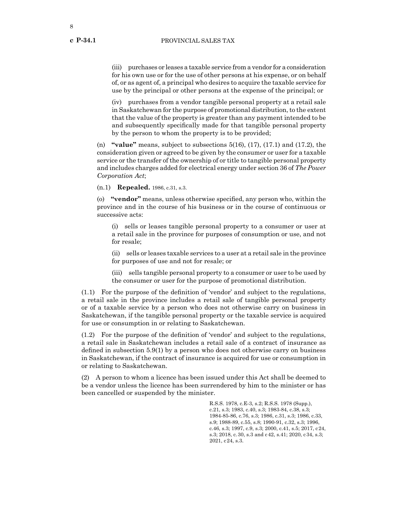**c P-34.1**

(iii) purchases or leases a taxable service from a vendor for a consideration for his own use or for the use of other persons at his expense, or on behalf of, or as agent of, a principal who desires to acquire the taxable service for use by the principal or other persons at the expense of the principal; or

(iv) purchases from a vendor tangible personal property at a retail sale in Saskatchewan for the purpose of promotional distribution, to the extent that the value of the property is greater than any payment intended to be and subsequently specifically made for that tangible personal property by the person to whom the property is to be provided;

(n) **"value"** means, subject to subsections 5(16), (17), (17.1) and (17.2), the consideration given or agreed to be given by the consumer or user for a taxable service or the transfer of the ownership of or title to tangible personal property and includes charges added for electrical energy under section 36 of *The Power Corporation Act*;

(n.1) **Repealed.** 1986, c.31, s.3.

(o) **"vendor"** means, unless otherwise specified, any person who, within the province and in the course of his business or in the course of continuous or successive acts:

(i) sells or leases tangible personal property to a consumer or user at a retail sale in the province for purposes of consumption or use, and not for resale;

(ii) sells or leases taxable services to a user at a retail sale in the province for purposes of use and not for resale; or

(iii) sells tangible personal property to a consumer or user to be used by the consumer or user for the purpose of promotional distribution.

(1.1) For the purpose of the definition of 'vendor' and subject to the regulations, a retail sale in the province includes a retail sale of tangible personal property or of a taxable service by a person who does not otherwise carry on business in Saskatchewan, if the tangible personal property or the taxable service is acquired for use or consumption in or relating to Saskatchewan.

(1.2) For the purpose of the definition of 'vendor' and subject to the regulations, a retail sale in Saskatchewan includes a retail sale of a contract of insurance as defined in subsection 5.9(1) by a person who does not otherwise carry on business in Saskatchewan, if the contract of insurance is acquired for use or consumption in or relating to Saskatchewan.

(2) A person to whom a licence has been issued under this Act shall be deemed to be a vendor unless the licence has been surrendered by him to the minister or has been cancelled or suspended by the minister.

> R.S.S. 1978, c.E-3, s.2; R.S.S. 1978 (Supp.), c.21, s.3; 1983, c.40, s.3; 1983-84, c.38, s.3; 1984-85-86, c.76, s.3; 1986, c.31, s.3; 1986, c.33, s.9; 1988-89, c.55, s.8; 1990-91, c.32, s.3; 1996, c.46, s.3; 1997, c.9, s.3; 2000, c.41, s.5; 2017, c24, s.3; 2018, c.30, s.3 and c42, s.41; 2020, c34, s.3; 2021, c24, s.3.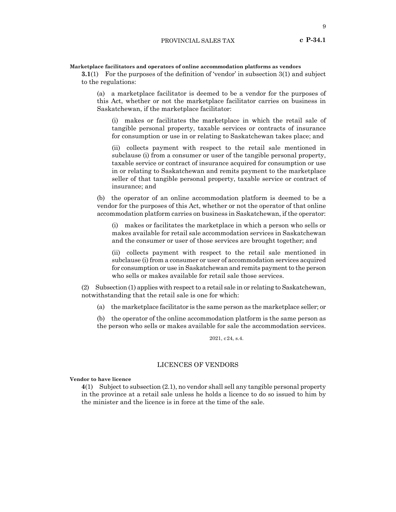#### **Marketplace facilitators and operators of online accommodation platforms as vendors**

**3.1**(1) For the purposes of the definition of 'vendor' in subsection 3(1) and subject to the regulations:

(a) a marketplace facilitator is deemed to be a vendor for the purposes of this Act, whether or not the marketplace facilitator carries on business in Saskatchewan, if the marketplace facilitator:

(i) makes or facilitates the marketplace in which the retail sale of tangible personal property, taxable services or contracts of insurance for consumption or use in or relating to Saskatchewan takes place; and

(ii) collects payment with respect to the retail sale mentioned in subclause (i) from a consumer or user of the tangible personal property, taxable service or contract of insurance acquired for consumption or use in or relating to Saskatchewan and remits payment to the marketplace seller of that tangible personal property, taxable service or contract of insurance; and

(b) the operator of an online accommodation platform is deemed to be a vendor for the purposes of this Act, whether or not the operator of that online accommodation platform carries on business in Saskatchewan, if the operator:

(i) makes or facilitates the marketplace in which a person who sells or makes available for retail sale accommodation services in Saskatchewan and the consumer or user of those services are brought together; and

(ii) collects payment with respect to the retail sale mentioned in subclause (i) from a consumer or user of accommodation services acquired for consumption or use in Saskatchewan and remits payment to the person who sells or makes available for retail sale those services.

(2) Subsection (1) applies with respect to a retail sale in or relating to Saskatchewan, notwithstanding that the retail sale is one for which:

(a) the marketplace facilitator is the same person as the marketplace seller; or

(b) the operator of the online accommodation platform is the same person as the person who sells or makes available for sale the accommodation services.

2021, c24, s.4.

### LICENCES OF VENDORS

**Vendor to have licence**

**4**(1) Subject to subsection (2.1), no vendor shall sell any tangible personal property in the province at a retail sale unless he holds a licence to do so issued to him by the minister and the licence is in force at the time of the sale.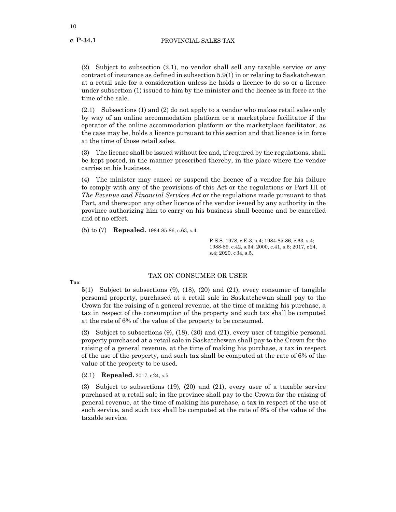**c P-34.1**

(2) Subject to subsection (2.1), no vendor shall sell any taxable service or any contract of insurance as defined in subsection 5.9(1) in or relating to Saskatchewan at a retail sale for a consideration unless he holds a licence to do so or a licence under subsection (1) issued to him by the minister and the licence is in force at the time of the sale.

(2.1) Subsections (1) and (2) do not apply to a vendor who makes retail sales only by way of an online accommodation platform or a marketplace facilitator if the operator of the online accommodation platform or the marketplace facilitator, as the case may be, holds a licence pursuant to this section and that licence is in force at the time of those retail sales.

(3) The licence shall be issued without fee and, if required by the regulations, shall be kept posted, in the manner prescribed thereby, in the place where the vendor carries on his business.

(4) The minister may cancel or suspend the licence of a vendor for his failure to comply with any of the provisions of this Act or the regulations or Part III of *The Revenue and Financial Services Act* or the regulations made pursuant to that Part, and thereupon any other licence of the vendor issued by any authority in the province authorizing him to carry on his business shall become and be cancelled and of no effect.

(5) to (7) **Repealed.** 1984-85-86, c.63, s.4.

R.S.S. 1978, c.E-3, s.4; 1984-85-86, c.63, s.4; 1988-89, c.42, s.34; 2000, c.41, s.6; 2017, c24, s.4; 2020, c34, s.5.

**Tax**

# TAX ON CONSUMER OR USER

**5**(1) Subject to subsections (9), (18), (20) and (21), every consumer of tangible personal property, purchased at a retail sale in Saskatchewan shall pay to the Crown for the raising of a general revenue, at the time of making his purchase, a tax in respect of the consumption of the property and such tax shall be computed at the rate of 6% of the value of the property to be consumed.

(2) Subject to subsections (9), (18), (20) and (21), every user of tangible personal property purchased at a retail sale in Saskatchewan shall pay to the Crown for the raising of a general revenue, at the time of making his purchase, a tax in respect of the use of the property, and such tax shall be computed at the rate of 6% of the value of the property to be used.

(2.1) **Repealed.** 2017, c24, s.5.

(3) Subject to subsections (19), (20) and (21), every user of a taxable service purchased at a retail sale in the province shall pay to the Crown for the raising of general revenue, at the time of making his purchase, a tax in respect of the use of such service, and such tax shall be computed at the rate of 6% of the value of the taxable service.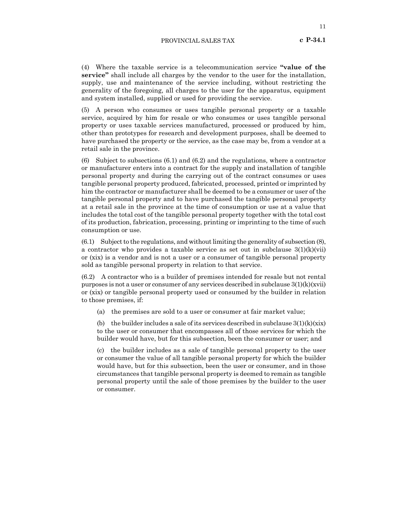#### PROVINCIAL SALES TAX

(4) Where the taxable service is a telecommunication service **"value of the service"** shall include all charges by the vendor to the user for the installation, supply, use and maintenance of the service including, without restricting the generality of the foregoing, all charges to the user for the apparatus, equipment and system installed, supplied or used for providing the service.

(5) A person who consumes or uses tangible personal property or a taxable service, acquired by him for resale or who consumes or uses tangible personal property or uses taxable services manufactured, processed or produced by him, other than prototypes for research and development purposes, shall be deemed to have purchased the property or the service, as the case may be, from a vendor at a retail sale in the province.

(6) Subject to subsections (6.1) and (6.2) and the regulations, where a contractor or manufacturer enters into a contract for the supply and installation of tangible personal property and during the carrying out of the contract consumes or uses tangible personal property produced, fabricated, processed, printed or imprinted by him the contractor or manufacturer shall be deemed to be a consumer or user of the tangible personal property and to have purchased the tangible personal property at a retail sale in the province at the time of consumption or use at a value that includes the total cost of the tangible personal property together with the total cost of its production, fabrication, processing, printing or imprinting to the time of such consumption or use.

(6.1) Subject to the regulations, and without limiting the generality of subsection (8), a contractor who provides a taxable service as set out in subclause  $3(1)(k)(vii)$ or (xix) is a vendor and is not a user or a consumer of tangible personal property sold as tangible personal property in relation to that service.

(6.2) A contractor who is a builder of premises intended for resale but not rental purposes is not a user or consumer of any services described in subclause  $3(1)(k)(xvi)$ or (xix) or tangible personal property used or consumed by the builder in relation to those premises, if:

(a) the premises are sold to a user or consumer at fair market value;

(b) the builder includes a sale of its services described in subclause  $3(1)(k)(\overline{x}i)$ to the user or consumer that encompasses all of those services for which the builder would have, but for this subsection, been the consumer or user; and

(c) the builder includes as a sale of tangible personal property to the user or consumer the value of all tangible personal property for which the builder would have, but for this subsection, been the user or consumer, and in those circumstances that tangible personal property is deemed to remain as tangible personal property until the sale of those premises by the builder to the user or consumer.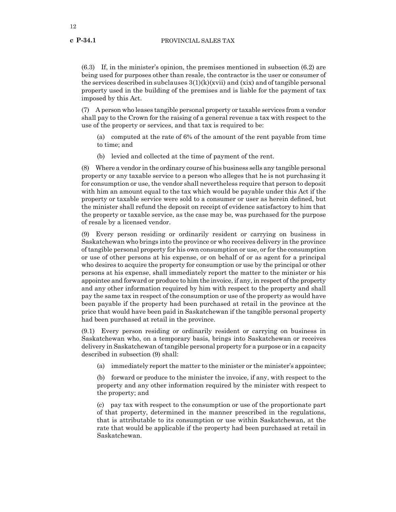(6.3) If, in the minister's opinion, the premises mentioned in subsection (6.2) are being used for purposes other than resale, the contractor is the user or consumer of the services described in subclauses  $3(1)(k)(xvi)$  and  $(xix)$  and of tangible personal property used in the building of the premises and is liable for the payment of tax imposed by this Act.

(7) A person who leases tangible personal property or taxable services from a vendor shall pay to the Crown for the raising of a general revenue a tax with respect to the use of the property or services, and that tax is required to be:

(a) computed at the rate of 6% of the amount of the rent payable from time to time; and

(b) levied and collected at the time of payment of the rent.

(8) Where a vendor in the ordinary course of his business sells any tangible personal property or any taxable service to a person who alleges that he is not purchasing it for consumption or use, the vendor shall nevertheless require that person to deposit with him an amount equal to the tax which would be payable under this Act if the property or taxable service were sold to a consumer or user as herein defined, but the minister shall refund the deposit on receipt of evidence satisfactory to him that the property or taxable service, as the case may be, was purchased for the purpose of resale by a licensed vendor.

(9) Every person residing or ordinarily resident or carrying on business in Saskatchewan who brings into the province or who receives delivery in the province of tangible personal property for his own consumption or use, or for the consumption or use of other persons at his expense, or on behalf of or as agent for a principal who desires to acquire the property for consumption or use by the principal or other persons at his expense, shall immediately report the matter to the minister or his appointee and forward or produce to him the invoice, if any, in respect of the property and any other information required by him with respect to the property and shall pay the same tax in respect of the consumption or use of the property as would have been payable if the property had been purchased at retail in the province at the price that would have been paid in Saskatchewan if the tangible personal property had been purchased at retail in the province.

(9.1) Every person residing or ordinarily resident or carrying on business in Saskatchewan who, on a temporary basis, brings into Saskatchewan or receives delivery in Saskatchewan of tangible personal property for a purpose or in a capacity described in subsection (9) shall:

(a) immediately report the matter to the minister or the minister's appointee;

(b) forward or produce to the minister the invoice, if any, with respect to the property and any other information required by the minister with respect to the property; and

(c) pay tax with respect to the consumption or use of the proportionate part of that property, determined in the manner prescribed in the regulations, that is attributable to its consumption or use within Saskatchewan, at the rate that would be applicable if the property had been purchased at retail in Saskatchewan.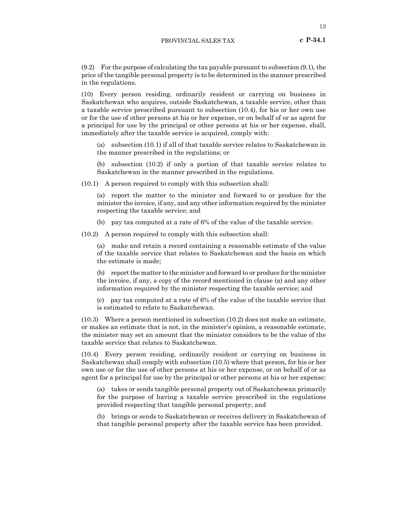(9.2) For the purpose of calculating the tax payable pursuant to subsection (9.1), the price of the tangible personal property is to be determined in the manner prescribed in the regulations.

(10) Every person residing, ordinarily resident or carrying on business in Saskatchewan who acquires, outside Saskatchewan, a taxable service, other than a taxable service prescribed pursuant to subsection (10.4), for his or her own use or for the use of other persons at his or her expense, or on behalf of or as agent for a principal for use by the principal or other persons at his or her expense, shall, immediately after the taxable service is acquired, comply with:

(a) subsection (10.1) if all of that taxable service relates to Saskatchewan in the manner prescribed in the regulations; or

(b) subsection (10.2) if only a portion of that taxable service relates to Saskatchewan in the manner prescribed in the regulations.

(10.1) A person required to comply with this subsection shall:

(a) report the matter to the minister and forward to or produce for the minister the invoice, if any, and any other information required by the minister respecting the taxable service; and

(b) pay tax computed at a rate of 6% of the value of the taxable service.

(10.2) A person required to comply with this subsection shall:

(a) make and retain a record containing a reasonable estimate of the value of the taxable service that relates to Saskatchewan and the basis on which the estimate is made;

(b) report the matter to the minister and forward to or produce for the minister the invoice, if any, a copy of the record mentioned in clause (a) and any other information required by the minister respecting the taxable service; and

(c) pay tax computed at a rate of 6% of the value of the taxable service that is estimated to relate to Saskatchewan.

(10.3) Where a person mentioned in subsection (10.2) does not make an estimate, or makes an estimate that is not, in the minister's opinion, a reasonable estimate, the minister may set an amount that the minister considers to be the value of the taxable service that relates to Saskatchewan.

(10.4) Every person residing, ordinarily resident or carrying on business in Saskatchewan shall comply with subsection (10.5) where that person, for his or her own use or for the use of other persons at his or her expense, or on behalf of or as agent for a principal for use by the principal or other persons at his or her expense:

(a) takes or sends tangible personal property out of Saskatchewan primarily for the purpose of having a taxable service prescribed in the regulations provided respecting that tangible personal property; and

(b) brings or sends to Saskatchewan or receives delivery in Saskatchewan of that tangible personal property after the taxable service has been provided.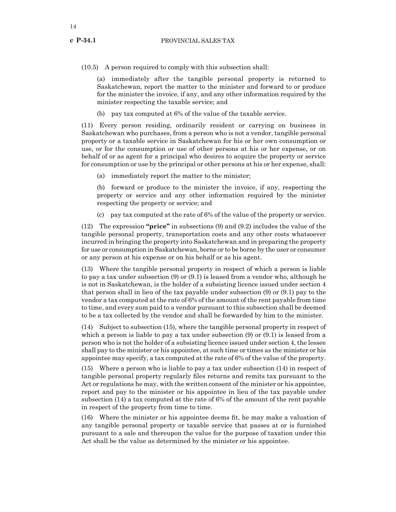(10.5) A person required to comply with this subsection shall:

(a) immediately after the tangible personal property is returned to Saskatchewan, report the matter to the minister and forward to or produce for the minister the invoice, if any, and any other information required by the minister respecting the taxable service; and

(b) pay tax computed at 6% of the value of the taxable service.

(11) Every person residing, ordinarily resident or carrying on business in Saskatchewan who purchases, from a person who is not a vendor, tangible personal property or a taxable service in Saskatchewan for his or her own consumption or use, or for the consumption or use of other persons at his or her expense, or on behalf of or as agent for a principal who desires to acquire the property or service for consumption or use by the principal or other persons at his or her expense, shall:

(a) immediately report the matter to the minister;

(b) forward or produce to the minister the invoice, if any, respecting the property or service and any other information required by the minister respecting the property or service; and

(c) pay tax computed at the rate of 6% of the value of the property or service.

(12) The expression **"price"** in subsections (9) and (9.2) includes the value of the tangible personal property, transportation costs and any other costs whatsoever incurred in bringing the property into Saskatchewan and in preparing the property for use or consumption in Saskatchewan, borne or to be borne by the user or consumer or any person at his expense or on his behalf or as his agent.

(13) Where the tangible personal property in respect of which a person is liable to pay a tax under subsection (9) or (9.1) is leased from a vendor who, although he is not in Saskatchewan, is the holder of a subsisting licence issued under section 4 that person shall in lieu of the tax payable under subsection (9) or (9.1) pay to the vendor a tax computed at the rate of 6% of the amount of the rent payable from time to time, and every sum paid to a vendor pursuant to this subsection shall be deemed to be a tax collected by the vendor and shall be forwarded by him to the minister.

(14) Subject to subsection (15), where the tangible personal property in respect of which a person is liable to pay a tax under subsection (9) or (9.1) is leased from a person who is not the holder of a subsisting licence issued under section 4, the lessee shall pay to the minister or his appointee, at such time or times as the minister or his appointee may specify, a tax computed at the rate of 6% of the value of the property.

(15) Where a person who is liable to pay a tax under subsection (14) in respect of tangible personal property regularly files returns and remits tax pursuant to the Act or regulations he may, with the written consent of the minister or his appointee, report and pay to the minister or his appointee in lieu of the tax payable under subsection (14) a tax computed at the rate of 6% of the amount of the rent payable in respect of the property from time to time.

(16) Where the minister or his appointee deems fit, he may make a valuation of any tangible personal property or taxable service that passes at or is furnished pursuant to a sale and thereupon the value for the purpose of taxation under this Act shall be the value as determined by the minister or his appointee.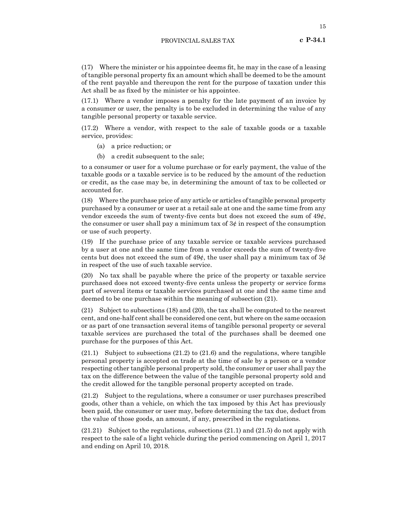(17) Where the minister or his appointee deems fit, he may in the case of a leasing of tangible personal property fix an amount which shall be deemed to be the amount of the rent payable and thereupon the rent for the purpose of taxation under this Act shall be as fixed by the minister or his appointee.

(17.1) Where a vendor imposes a penalty for the late payment of an invoice by a consumer or user, the penalty is to be excluded in determining the value of any tangible personal property or taxable service.

(17.2) Where a vendor, with respect to the sale of taxable goods or a taxable service, provides:

- (a) a price reduction; or
- (b) a credit subsequent to the sale;

to a consumer or user for a volume purchase or for early payment, the value of the taxable goods or a taxable service is to be reduced by the amount of the reduction or credit, as the case may be, in determining the amount of tax to be collected or accounted for.

(18) Where the purchase price of any article or articles of tangible personal property purchased by a consumer or user at a retail sale at one and the same time from any vendor exceeds the sum of twenty-five cents but does not exceed the sum of  $49¢$ , the consumer or user shall pay a minimum tax of  $3¢$  in respect of the consumption or use of such property.

(19) If the purchase price of any taxable service or taxable services purchased by a user at one and the same time from a vendor exceeds the sum of twenty-five cents but does not exceed the sum of  $49¢$ , the user shall pay a minimum tax of  $3¢$ in respect of the use of such taxable service.

(20) No tax shall be payable where the price of the property or taxable service purchased does not exceed twenty-five cents unless the property or service forms part of several items or taxable services purchased at one and the same time and deemed to be one purchase within the meaning of subsection (21).

(21) Subject to subsections (18) and (20), the tax shall be computed to the nearest cent, and one-half cent shall be considered one cent, but where on the same occasion or as part of one transaction several items of tangible personal property or several taxable services are purchased the total of the purchases shall be deemed one purchase for the purposes of this Act.

(21.1) Subject to subsections (21.2) to (21.6) and the regulations, where tangible personal property is accepted on trade at the time of sale by a person or a vendor respecting other tangible personal property sold, the consumer or user shall pay the tax on the difference between the value of the tangible personal property sold and the credit allowed for the tangible personal property accepted on trade.

(21.2) Subject to the regulations, where a consumer or user purchases prescribed goods, other than a vehicle, on which the tax imposed by this Act has previously been paid, the consumer or user may, before determining the tax due, deduct from the value of those goods, an amount, if any, prescribed in the regulations.

(21.21) Subject to the regulations, subsections (21.1) and (21.5) do not apply with respect to the sale of a light vehicle during the period commencing on April 1, 2017 and ending on April 10, 2018*.*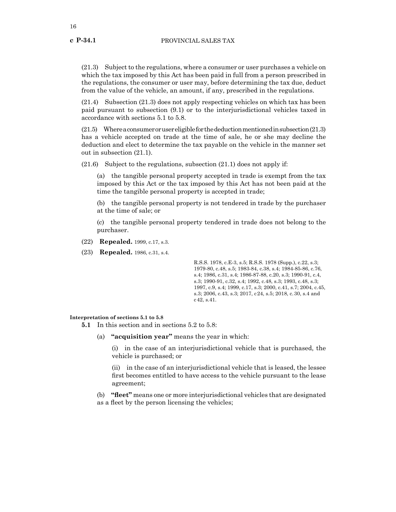(21.3) Subject to the regulations, where a consumer or user purchases a vehicle on which the tax imposed by this Act has been paid in full from a person prescribed in the regulations, the consumer or user may, before determining the tax due, deduct from the value of the vehicle, an amount, if any, prescribed in the regulations.

(21.4) Subsection (21.3) does not apply respecting vehicles on which tax has been paid pursuant to subsection (9.1) or to the interjurisdictional vehicles taxed in accordance with sections 5.1 to 5.8.

(21.5) Where a consumer or user eligible for the deduction mentioned in subsection (21.3) has a vehicle accepted on trade at the time of sale, he or she may decline the deduction and elect to determine the tax payable on the vehicle in the manner set out in subsection (21.1).

 $(21.6)$  Subject to the regulations, subsection  $(21.1)$  does not apply if:

(a) the tangible personal property accepted in trade is exempt from the tax imposed by this Act or the tax imposed by this Act has not been paid at the time the tangible personal property is accepted in trade;

(b) the tangible personal property is not tendered in trade by the purchaser at the time of sale; or

(c) the tangible personal property tendered in trade does not belong to the purchaser.

- (22) **Repealed.** 1999, c.17, s.3.
- (23) **Repealed.** 1986, c.31, s.4.

R.S.S. 1978, c.E-3, s.5; R.S.S. 1978 (Supp.), c.22, s.3; 1979-80, c.48, s.5; 1983-84, c.38, s.4; 1984-85-86, c.76, s.4; 1986, c.31, s.4; 1986-87-88, c.20, s.3; 1990-91, c.4, s.3; 1990-91, c.32, s.4; 1992, c.48, s.3; 1993, c.48, s.3; 1997, c.9, s.4; 1999, c.17, s.3; 2000, c.41, s.7; 2004, c.45, s.3; 2006, c.43, s.3; 2017, c24, s.5; 2018, c.30, s.4 and c42, s.41.

#### **Interpretation of sections 5.1 to 5.8**

- **5.1** In this section and in sections 5.2 to 5.8:
	- (a) **"acquisition year"** means the year in which:

(i) in the case of an interjurisdictional vehicle that is purchased, the vehicle is purchased; or

(ii) in the case of an interjurisdictional vehicle that is leased, the lessee first becomes entitled to have access to the vehicle pursuant to the lease agreement;

(b) **"fleet"** means one or more interjurisdictional vehicles that are designated as a fleet by the person licensing the vehicles;

16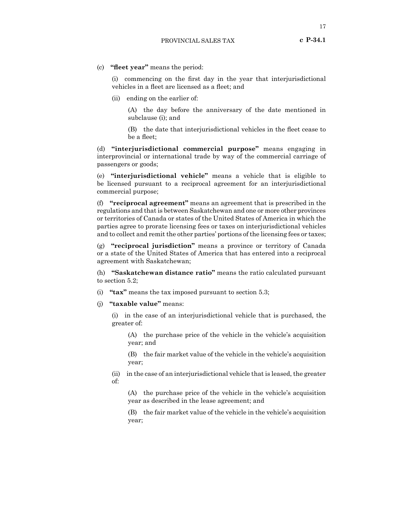(c) **"fleet year"** means the period:

(i) commencing on the first day in the year that interjurisdictional vehicles in a fleet are licensed as a fleet; and

(ii) ending on the earlier of:

(A) the day before the anniversary of the date mentioned in subclause (i); and

(B) the date that interjurisdictional vehicles in the fleet cease to be a fleet;

(d) **"interjurisdictional commercial purpose"** means engaging in interprovincial or international trade by way of the commercial carriage of passengers or goods;

(e) **"interjurisdictional vehicle"** means a vehicle that is eligible to be licensed pursuant to a reciprocal agreement for an interjurisdictional commercial purpose;

(f) **"reciprocal agreement"** means an agreement that is prescribed in the regulations and that is between Saskatchewan and one or more other provinces or territories of Canada or states of the United States of America in which the parties agree to prorate licensing fees or taxes on interjurisdictional vehicles and to collect and remit the other parties' portions of the licensing fees or taxes;

(g) **"reciprocal jurisdiction"** means a province or territory of Canada or a state of the United States of America that has entered into a reciprocal agreement with Saskatchewan;

(h) **"Saskatchewan distance ratio"** means the ratio calculated pursuant to section 5.2;

- (i) **"tax"** means the tax imposed pursuant to section 5.3;
- (j) **"taxable value"** means:

(i) in the case of an interjurisdictional vehicle that is purchased, the greater of:

(A) the purchase price of the vehicle in the vehicle's acquisition year; and

(B) the fair market value of the vehicle in the vehicle's acquisition year;

(ii) in the case of an interjurisdictional vehicle that is leased, the greater of:

(A) the purchase price of the vehicle in the vehicle's acquisition year as described in the lease agreement; and

(B) the fair market value of the vehicle in the vehicle's acquisition year;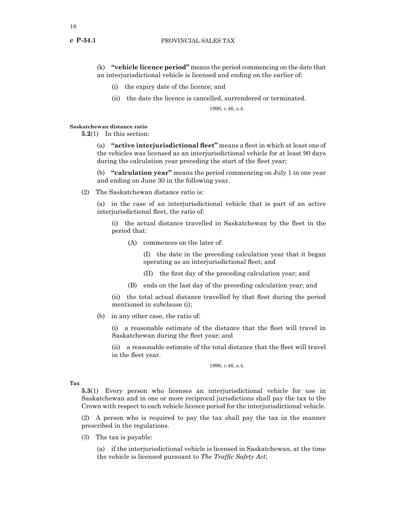(k) **"vehicle licence period"** means the period commencing on the date that an interjurisdictional vehicle is licensed and ending on the earlier of:

- (i) the expiry date of the licence; and
- (ii) the date the licence is cancelled, surrendered or terminated.

1996, c.46, s.4.

#### **Saskatchewan distance ratio**

**5.2**(1) In this section:

(a) **"active interjurisdictional fleet"** means a fleet in which at least one of the vehicles was licensed as an interjurisdictional vehicle for at least 90 days during the calculation year preceding the start of the fleet year;

(b) **"calculation year"** means the period commencing on July 1 in one year and ending on June 30 in the following year.

(2) The Saskatchewan distance ratio is:

(a) in the case of an interjurisdictional vehicle that is part of an active interjurisdictional fleet, the ratio of:

(i) the actual distance travelled in Saskatchewan by the fleet in the period that:

(A) commences on the later of:

(I) the date in the preceding calculation year that it began operating as an interjurisdictional fleet; and

- (II) the first day of the preceding calculation year; and
- (B) ends on the last day of the preceding calculation year; and

(ii) the total actual distance travelled by that fleet during the period mentioned in subclause (i);

(b) in any other case, the ratio of:

(i) a reasonable estimate of the distance that the fleet will travel in Saskatchewan during the fleet year; and

(ii) a reasonable estimate of the total distance that the fleet will travel in the fleet year.

1996, c.46, s.4.

**Tax**

**5.3**(1) Every person who licenses an interjurisdictional vehicle for use in Saskatchewan and in one or more reciprocal jurisdictions shall pay the tax to the Crown with respect to each vehicle licence period for the interjurisdictional vehicle.

(2) A person who is required to pay the tax shall pay the tax in the manner prescribed in the regulations.

(3) The tax is payable:

(a) if the interjurisdictional vehicle is licensed in Saskatchewan, at the time the vehicle is licensed pursuant to *The Traffic Safety Act*;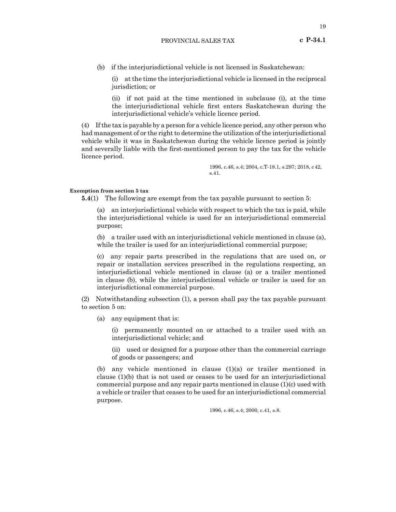(b) if the interjurisdictional vehicle is not licensed in Saskatchewan:

(i) at the time the interjurisdictional vehicle is licensed in the reciprocal jurisdiction; or

(ii) if not paid at the time mentioned in subclause (i), at the time the interjurisdictional vehicle first enters Saskatchewan during the interjurisdictional vehicle's vehicle licence period.

(4) If the tax is payable by a person for a vehicle licence period, any other person who had management of or the right to determine the utilization of the interjurisdictional vehicle while it was in Saskatchewan during the vehicle licence period is jointly and severally liable with the first-mentioned person to pay the tax for the vehicle licence period.

> 1996, c.46, s.4; 2004, c.T-18.1, s.297; 2018, c42, s.41.

# **Exemption from section 5 tax**

**5.4**(1) The following are exempt from the tax payable pursuant to section 5:

(a) an interjurisdictional vehicle with respect to which the tax is paid, while the interjurisdictional vehicle is used for an interjurisdictional commercial purpose;

(b) a trailer used with an interjurisdictional vehicle mentioned in clause (a), while the trailer is used for an interjurisdictional commercial purpose;

(c) any repair parts prescribed in the regulations that are used on, or repair or installation services prescribed in the regulations respecting, an interjurisdictional vehicle mentioned in clause (a) or a trailer mentioned in clause (b), while the interjurisdictional vehicle or trailer is used for an interjurisdictional commercial purpose.

(2) Notwithstanding subsection (1), a person shall pay the tax payable pursuant to section 5 on:

(a) any equipment that is:

(i) permanently mounted on or attached to a trailer used with an interjurisdictional vehicle; and

(ii) used or designed for a purpose other than the commercial carriage of goods or passengers; and

(b) any vehicle mentioned in clause (1)(a) or trailer mentioned in clause (1)(b) that is not used or ceases to be used for an interjurisdictional commercial purpose and any repair parts mentioned in clause (1)(c) used with a vehicle or trailer that ceases to be used for an interjurisdictional commercial purpose.

1996, c.46, s.4; 2000, c.41, s.8.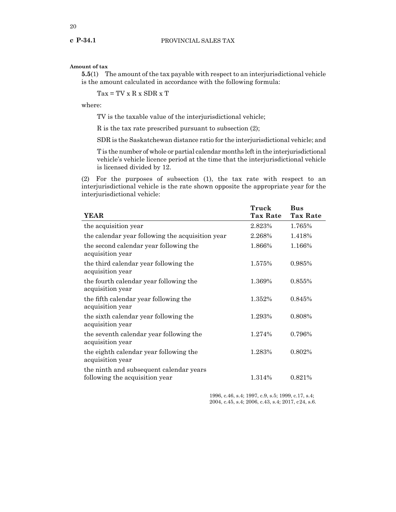#### **Amount of tax**

**5.5**(1) The amount of the tax payable with respect to an interjurisdictional vehicle is the amount calculated in accordance with the following formula:

 $Tax = TV x R x SDR x T$ 

where:

TV is the taxable value of the interjurisdictional vehicle;

R is the tax rate prescribed pursuant to subsection (2);

SDR is the Saskatchewan distance ratio for the interjurisdictional vehicle; and

T is the number of whole or partial calendar months left in the interjurisdictional vehicle's vehicle licence period at the time that the interjurisdictional vehicle is licensed divided by 12.

(2) For the purposes of subsection (1), the tax rate with respect to an interjurisdictional vehicle is the rate shown opposite the appropriate year for the interjurisdictional vehicle:

| <b>YEAR</b>                                                               | Truck<br><b>Tax Rate</b> | <b>Bus</b><br><b>Tax Rate</b> |
|---------------------------------------------------------------------------|--------------------------|-------------------------------|
|                                                                           |                          |                               |
| the acquisition year                                                      | 2.823%                   | 1.765%                        |
| the calendar year following the acquisition year                          | 2.268%                   | 1.418%                        |
| the second calendar year following the<br>acquisition year                | 1.866%                   | 1.166%                        |
| the third calendar year following the<br>acquisition year                 | 1.575%                   | 0.985%                        |
| the fourth calendar year following the<br>acquisition year                | 1.369%                   | 0.855%                        |
| the fifth calendar year following the<br>acquisition year                 | 1.352%                   | 0.845%                        |
| the sixth calendar year following the<br>acquisition year                 | 1.293%                   | 0.808%                        |
| the seventh calendar year following the<br>acquisition year               | 1.274%                   | 0.796%                        |
| the eighth calendar year following the<br>acquisition year                | 1.283%                   | 0.802%                        |
| the ninth and subsequent calendar years<br>following the acquisition year | 1.314%                   | 0.821\%                       |

1996, c.46, s.4; 1997, c.9, s.5; 1999, c.17, s.4; 2004, c.45, s.4; 2006, c.43, s.4; 2017, c24, s.6.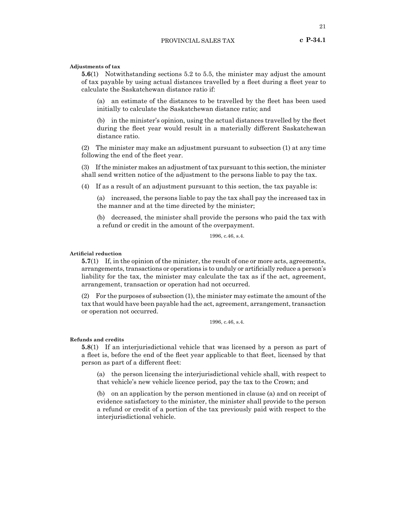#### **Adjustments of tax**

**5.6**(1) Notwithstanding sections 5.2 to 5.5, the minister may adjust the amount of tax payable by using actual distances travelled by a fleet during a fleet year to calculate the Saskatchewan distance ratio if:

(a) an estimate of the distances to be travelled by the fleet has been used initially to calculate the Saskatchewan distance ratio; and

(b) in the minister's opinion, using the actual distances travelled by the fleet during the fleet year would result in a materially different Saskatchewan distance ratio.

(2) The minister may make an adjustment pursuant to subsection (1) at any time following the end of the fleet year.

(3) If the minister makes an adjustment of tax pursuant to this section, the minister shall send written notice of the adjustment to the persons liable to pay the tax.

(4) If as a result of an adjustment pursuant to this section, the tax payable is:

(a) increased, the persons liable to pay the tax shall pay the increased tax in the manner and at the time directed by the minister;

(b) decreased, the minister shall provide the persons who paid the tax with a refund or credit in the amount of the overpayment.

1996, c.46, s.4.

# **Artificial reduction**

**5.7**(1) If, in the opinion of the minister, the result of one or more acts, agreements, arrangements, transactions or operations is to unduly or artificially reduce a person's liability for the tax, the minister may calculate the tax as if the act, agreement, arrangement, transaction or operation had not occurred.

(2) For the purposes of subsection (1), the minister may estimate the amount of the tax that would have been payable had the act, agreement, arrangement, transaction or operation not occurred.

1996, c.46, s.4.

#### **Refunds and credits**

**5.8**(1) If an interjurisdictional vehicle that was licensed by a person as part of a fleet is, before the end of the fleet year applicable to that fleet, licensed by that person as part of a different fleet:

(a) the person licensing the interjurisdictional vehicle shall, with respect to that vehicle's new vehicle licence period, pay the tax to the Crown; and

(b) on an application by the person mentioned in clause (a) and on receipt of evidence satisfactory to the minister, the minister shall provide to the person a refund or credit of a portion of the tax previously paid with respect to the interjurisdictional vehicle.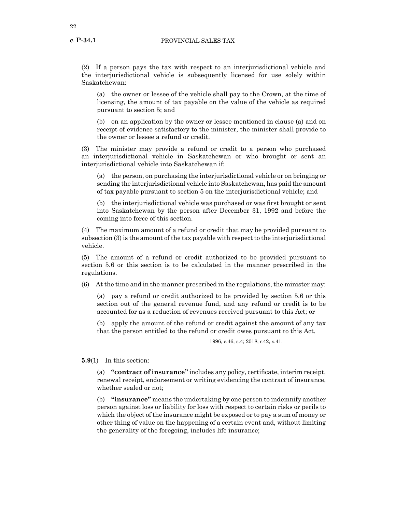**c P-34.1**

(2) If a person pays the tax with respect to an interjurisdictional vehicle and the interjurisdictional vehicle is subsequently licensed for use solely within Saskatchewan:

(a) the owner or lessee of the vehicle shall pay to the Crown, at the time of licensing, the amount of tax payable on the value of the vehicle as required pursuant to section 5; and

(b) on an application by the owner or lessee mentioned in clause (a) and on receipt of evidence satisfactory to the minister, the minister shall provide to the owner or lessee a refund or credit.

(3) The minister may provide a refund or credit to a person who purchased an interjurisdictional vehicle in Saskatchewan or who brought or sent an interjurisdictional vehicle into Saskatchewan if:

(a) the person, on purchasing the interjurisdictional vehicle or on bringing or sending the interjurisdictional vehicle into Saskatchewan, has paid the amount of tax payable pursuant to section 5 on the interjurisdictional vehicle; and

(b) the interjurisdictional vehicle was purchased or was first brought or sent into Saskatchewan by the person after December 31, 1992 and before the coming into force of this section.

(4) The maximum amount of a refund or credit that may be provided pursuant to subsection (3) is the amount of the tax payable with respect to the interjurisdictional vehicle.

(5) The amount of a refund or credit authorized to be provided pursuant to section 5.6 or this section is to be calculated in the manner prescribed in the regulations.

(6) At the time and in the manner prescribed in the regulations, the minister may:

(a) pay a refund or credit authorized to be provided by section 5.6 or this section out of the general revenue fund, and any refund or credit is to be accounted for as a reduction of revenues received pursuant to this Act; or

(b) apply the amount of the refund or credit against the amount of any tax that the person entitled to the refund or credit owes pursuant to this Act.

1996, c.46, s.4; 2018, c42, s.41.

**5.9**(1) In this section:

(a) **"contract of insurance"** includes any policy, certificate, interim receipt, renewal receipt, endorsement or writing evidencing the contract of insurance, whether sealed or not;

(b) **"insurance"** means the undertaking by one person to indemnify another person against loss or liability for loss with respect to certain risks or perils to which the object of the insurance might be exposed or to pay a sum of money or other thing of value on the happening of a certain event and, without limiting the generality of the foregoing, includes life insurance;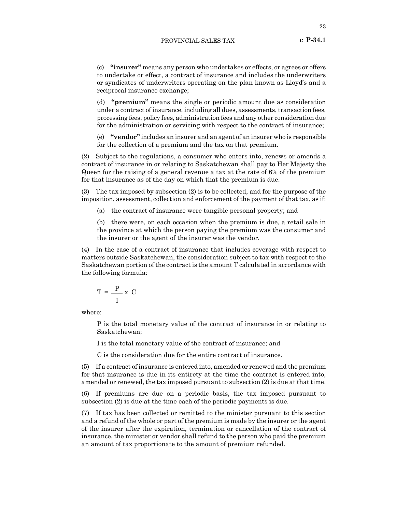(c) **"insurer"** means any person who undertakes or effects, or agrees or offers to undertake or effect, a contract of insurance and includes the underwriters or syndicates of underwriters operating on the plan known as Lloyd's and a reciprocal insurance exchange;

(d) **"premium"** means the single or periodic amount due as consideration under a contract of insurance, including all dues, assessments, transaction fees, processing fees, policy fees, administration fees and any other consideration due for the administration or servicing with respect to the contract of insurance;

(e) **"vendor"** includes an insurer and an agent of an insurer who is responsible for the collection of a premium and the tax on that premium.

(2) Subject to the regulations, a consumer who enters into, renews or amends a contract of insurance in or relating to Saskatchewan shall pay to Her Majesty the Queen for the raising of a general revenue a tax at the rate of 6% of the premium for that insurance as of the day on which that the premium is due.

(3) The tax imposed by subsection (2) is to be collected, and for the purpose of the imposition, assessment, collection and enforcement of the payment of that tax, as if:

(a) the contract of insurance were tangible personal property; and

(b) there were, on each occasion when the premium is due, a retail sale in the province at which the person paying the premium was the consumer and the insurer or the agent of the insurer was the vendor.

(4) In the case of a contract of insurance that includes coverage with respect to matters outside Saskatchewan, the consideration subject to tax with respect to the Saskatchewan portion of the contract is the amount T calculated in accordance with the following formula:

$$
T = \frac{P}{I} x C
$$

where:

P is the total monetary value of the contract of insurance in or relating to Saskatchewan;

I is the total monetary value of the contract of insurance; and

C is the consideration due for the entire contract of insurance.

(5) If a contract of insurance is entered into, amended or renewed and the premium for that insurance is due in its entirety at the time the contract is entered into, amended or renewed, the tax imposed pursuant to subsection (2) is due at that time.

(6) If premiums are due on a periodic basis, the tax imposed pursuant to subsection (2) is due at the time each of the periodic payments is due.

(7) If tax has been collected or remitted to the minister pursuant to this section and a refund of the whole or part of the premium is made by the insurer or the agent of the insurer after the expiration, termination or cancellation of the contract of insurance, the minister or vendor shall refund to the person who paid the premium an amount of tax proportionate to the amount of premium refunded.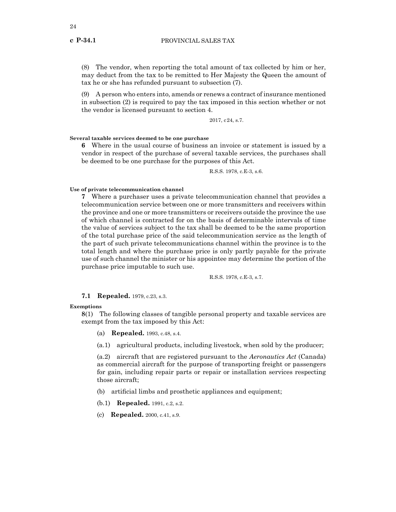(8) The vendor, when reporting the total amount of tax collected by him or her, may deduct from the tax to be remitted to Her Majesty the Queen the amount of tax he or she has refunded pursuant to subsection (7).

(9) A person who enters into, amends or renews a contract of insurance mentioned in subsection (2) is required to pay the tax imposed in this section whether or not the vendor is licensed pursuant to section 4.

2017, c24, s.7.

**Several taxable services deemed to be one purchase**

**6** Where in the usual course of business an invoice or statement is issued by a vendor in respect of the purchase of several taxable services, the purchases shall be deemed to be one purchase for the purposes of this Act.

R.S.S. 1978, c.E-3, s.6.

#### **Use of private telecommunication channel**

**7** Where a purchaser uses a private telecommunication channel that provides a telecommunication service between one or more transmitters and receivers within the province and one or more transmitters or receivers outside the province the use of which channel is contracted for on the basis of determinable intervals of time the value of services subject to the tax shall be deemed to be the same proportion of the total purchase price of the said telecommunication service as the length of the part of such private telecommunications channel within the province is to the total length and where the purchase price is only partly payable for the private use of such channel the minister or his appointee may determine the portion of the purchase price imputable to such use.

R.S.S. 1978, c.E-3, s.7.

#### **7.1 Repealed.** 1979, c.23, s.3.

#### **Exemptions**

**8**(1) The following classes of tangible personal property and taxable services are exempt from the tax imposed by this Act:

- (a) **Repealed.** 1993, c.48, s.4.
- (a.1) agricultural products, including livestock, when sold by the producer;

(a.2) aircraft that are registered pursuant to the *Aeronautics Act* (Canada) as commercial aircraft for the purpose of transporting freight or passengers for gain, including repair parts or repair or installation services respecting those aircraft;

- (b) artificial limbs and prosthetic appliances and equipment;
- (b.1) **Repealed.** 1991, c.2, s.2.
- (c) **Repealed.** 2000, c.41, s.9.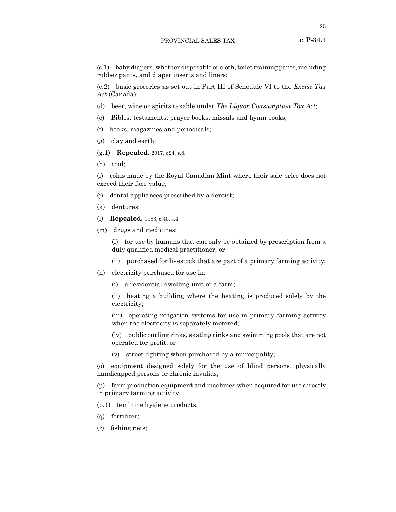(c.1) baby diapers, whether disposable or cloth, toilet training pants, including rubber pants, and diaper inserts and liners;

(c.2) basic groceries as set out in Part III of Schedule VI to the *Excise Tax Act* (Canada);

- (d) beer, wine or spirits taxable under *The Liquor Consumption Tax Act*;
- (e) Bibles, testaments, prayer books, missals and hymn books;
- (f) books, magazines and periodicals;
- (g) clay and earth;
- (g.1) **Repealed.** 2017, c24, s.8.
- (h) coal;

(i) coins made by the Royal Canadian Mint where their sale price does not exceed their face value;

- (j) dental appliances prescribed by a dentist;
- (k) dentures;
- (l) **Repealed.** 1983, c.40, s.4.
- (m) drugs and medicines:

(i) for use by humans that can only be obtained by prescription from a duly qualified medical practitioner; or

- (ii) purchased for livestock that are part of a primary farming activity;
- (n) electricity purchased for use in:
	- (i) a residential dwelling unit or a farm;

(ii) heating a building where the heating is produced solely by the electricity;

(iii) operating irrigation systems for use in primary farming activity when the electricity is separately metered;

(iv) public curling rinks, skating rinks and swimming pools that are not operated for profit; or

(v) street lighting when purchased by a municipality;

(o) equipment designed solely for the use of blind persons, physically handicapped persons or chronic invalids;

(p) farm production equipment and machines when acquired for use directly in primary farming activity;

(p.1) feminine hygiene products;

- (q) fertilizer;
- (r) fishing nets;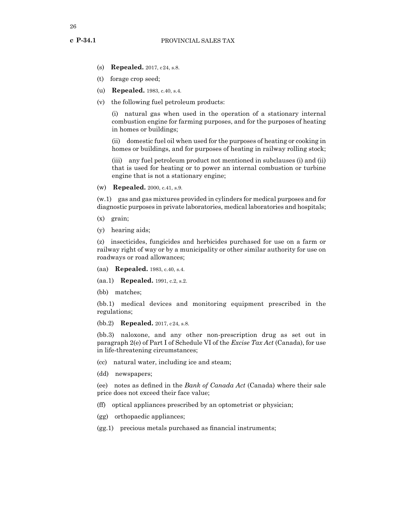- **c P-34.1**
	- (s) **Repealed.** 2017, c24, s.8.
	- (t) forage crop seed;
	- (u) **Repealed.** 1983, c.40, s.4.
	- (v) the following fuel petroleum products:

(i) natural gas when used in the operation of a stationary internal combustion engine for farming purposes, and for the purposes of heating in homes or buildings;

(ii) domestic fuel oil when used for the purposes of heating or cooking in homes or buildings, and for purposes of heating in railway rolling stock;

(iii) any fuel petroleum product not mentioned in subclauses (i) and (ii) that is used for heating or to power an internal combustion or turbine engine that is not a stationary engine;

(w) **Repealed.** 2000, c.41, s.9.

(w.1) gas and gas mixtures provided in cylinders for medical purposes and for diagnostic purposes in private laboratories, medical laboratories and hospitals;

- (x) grain;
- (y) hearing aids;

(z) insecticides, fungicides and herbicides purchased for use on a farm or railway right of way or by a municipality or other similar authority for use on roadways or road allowances;

(aa) **Repealed.** 1983, c.40, s.4.

(aa.1) **Repealed.** 1991, c.2, s.2.

(bb) matches;

(bb.1) medical devices and monitoring equipment prescribed in the regulations;

(bb.2) **Repealed.** 2017, c24, s.8.

(bb.3) naloxone, and any other non-prescription drug as set out in paragraph 2(e) of Part I of Schedule VI of the *Excise Tax Act* (Canada), for use in life-threatening circumstances;

- (cc) natural water, including ice and steam;
- (dd) newspapers;

(ee) notes as defined in the *Bank of Canada Act* (Canada) where their sale price does not exceed their face value;

- (ff) optical appliances prescribed by an optometrist or physician;
- (gg) orthopaedic appliances;
- (gg.1) precious metals purchased as financial instruments;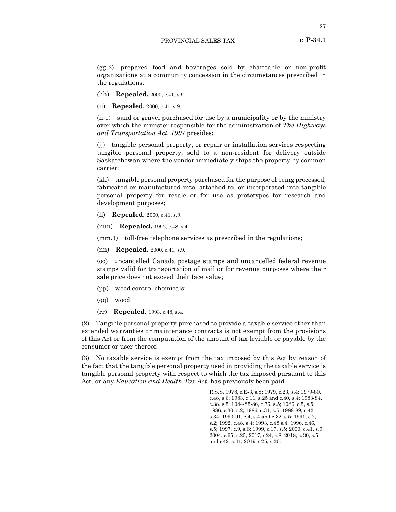(gg.2) prepared food and beverages sold by charitable or non-profit organizations at a community concession in the circumstances prescribed in the regulations;

(hh) **Repealed.** 2000, c.41, s.9.

(ii) **Repealed.** 2000, c.41, s.9.

(ii.1) sand or gravel purchased for use by a municipality or by the ministry over which the minister responsible for the administration of *The Highways and Transportation Act, 1997* presides;

(jj) tangible personal property, or repair or installation services respecting tangible personal property, sold to a non-resident for delivery outside Saskatchewan where the vendor immediately ships the property by common carrier;

(kk) tangible personal property purchased for the purpose of being processed, fabricated or manufactured into, attached to, or incorporated into tangible personal property for resale or for use as prototypes for research and development purposes;

(ll) **Repealed.** 2000, c.41, s.9.

(mm) **Repealed.** 1992, c.48, s.4.

(mm.1) toll-free telephone services as prescribed in the regulations;

(nn) **Repealed.** 2000, c.41, s.9.

(oo) uncancelled Canada postage stamps and uncancelled federal revenue stamps valid for transportation of mail or for revenue purposes where their sale price does not exceed their face value;

- (pp) weed control chemicals;
- (qq) wood.
- (rr) **Repealed.** 1993, c.48, s.4.

(2) Tangible personal property purchased to provide a taxable service other than extended warranties or maintenance contracts is not exempt from the provisions of this Act or from the computation of the amount of tax leviable or payable by the consumer or user thereof.

(3) No taxable service is exempt from the tax imposed by this Act by reason of the fact that the tangible personal property used in providing the taxable service is tangible personal property with respect to which the tax imposed pursuant to this Act, or any *Education and Health Tax Act*, has previously been paid.

> R.S.S. 1978, c.E-3, s.8; 1979, c.23, s.4; 1979-80, c.48, s.6; 1983, c.11, s.25 and c.40, s.4; 1983-84, c.38, s.5; 1984-85-86, c.76, s.5; 1986, c.5, s.5; 1986, c.30, s.2; 1986, c.31, s.5; 1988-89, c.42, s.34; 1990-91, c.4, s.4 and c.32, s.5; 1991, c.2, s.2; 1992, c.48, s.4; 1993, c.48 s.4; 1996, c.46, s.5; 1997, c.9, s.6; 1999, c.17, s.5; 2000, c.41, s.9; 2004, c.65, s.25; 2017, c24, s.8; 2018, c.30, s.5 and c42, s.41; 2019, c25, s.20.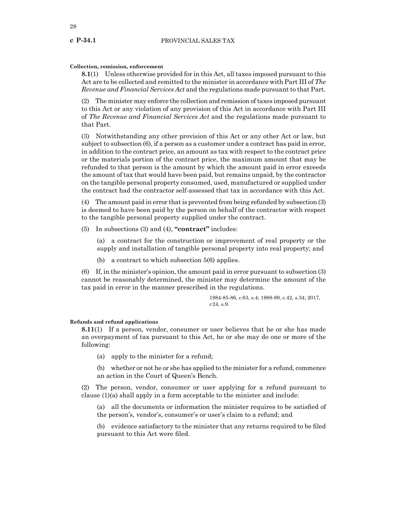# **c P-34.1**

# **Collection, remission, enforcement**

**8.1**(1) Unless otherwise provided for in this Act, all taxes imposed pursuant to this Act are to be collected and remitted to the minister in accordance with Part III of *The Revenue and Financial Services Act* and the regulations made pursuant to that Part.

(2) The minister may enforce the collection and remission of taxes imposed pursuant to this Act or any violation of any provision of this Act in accordance with Part III of *The Revenue and Financial Services Act* and the regulations made pursuant to that Part.

(3) Notwithstanding any other provision of this Act or any other Act or law, but subject to subsection (6), if a person as a customer under a contract has paid in error, in addition to the contract price, an amount as tax with respect to the contract price or the materials portion of the contract price, the maximum amount that may be refunded to that person is the amount by which the amount paid in error exceeds the amount of tax that would have been paid, but remains unpaid, by the contractor on the tangible personal property consumed, used, manufactured or supplied under the contract had the contractor self-assessed that tax in accordance with this Act.

(4) The amount paid in error that is prevented from being refunded by subsection (3) is deemed to have been paid by the person on behalf of the contractor with respect to the tangible personal property supplied under the contract.

(5) In subsections (3) and (4), **"contract"** includes:

(a) a contract for the construction or improvement of real property or the supply and installation of tangible personal property into real property; and

(b) a contract to which subsection 5(6) applies.

(6) If, in the minister's opinion, the amount paid in error pursuant to subsection (3) cannot be reasonably determined, the minister may determine the amount of the tax paid in error in the manner prescribed in the regulations.

> 1984-85-86, c.63, s.4; 1988-89, c.42, s.34; 2017,  $c24$ , s.9.

# **Refunds and refund applications**

**8.11**(1) If a person, vendor, consumer or user believes that he or she has made an overpayment of tax pursuant to this Act, he or she may do one or more of the following:

(a) apply to the minister for a refund;

(b) whether or not he or she has applied to the minister for a refund, commence an action in the Court of Queen's Bench.

(2) The person, vendor, consumer or user applying for a refund pursuant to clause (1)(a) shall apply in a form acceptable to the minister and include:

(a) all the documents or information the minister requires to be satisfied of the person's, vendor's, consumer's or user's claim to a refund; and

(b) evidence satisfactory to the minister that any returns required to be filed pursuant to this Act were filed.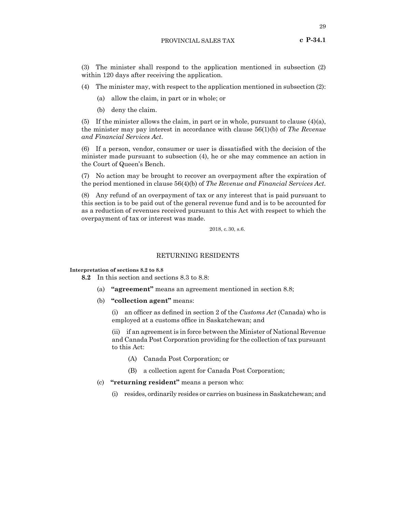(3) The minister shall respond to the application mentioned in subsection (2) within 120 days after receiving the application.

(4) The minister may, with respect to the application mentioned in subsection (2):

- (a) allow the claim, in part or in whole; or
- (b) deny the claim.

(5) If the minister allows the claim, in part or in whole, pursuant to clause  $(4)(a)$ , the minister may pay interest in accordance with clause 56(1)(b) of *The Revenue and Financial Services Act*.

(6) If a person, vendor, consumer or user is dissatisfied with the decision of the minister made pursuant to subsection (4), he or she may commence an action in the Court of Queen's Bench.

(7) No action may be brought to recover an overpayment after the expiration of the period mentioned in clause 56(4)(b) of *The Revenue and Financial Services Act*.

(8) Any refund of an overpayment of tax or any interest that is paid pursuant to this section is to be paid out of the general revenue fund and is to be accounted for as a reduction of revenues received pursuant to this Act with respect to which the overpayment of tax or interest was made.

2018, c.30, s.6.

# RETURNING RESIDENTS

#### **Interpretation of sections 8.2 to 8.8**

**8.2** In this section and sections 8.3 to 8.8:

- (a) **"agreement"** means an agreement mentioned in section 8.8;
- (b) **"collection agent"** means:

(i) an officer as defined in section 2 of the *Customs Act* (Canada) who is employed at a customs office in Saskatchewan; and

(ii) if an agreement is in force between the Minister of National Revenue and Canada Post Corporation providing for the collection of tax pursuant to this Act:

- (A) Canada Post Corporation; or
- (B) a collection agent for Canada Post Corporation;
- (c) **"returning resident"** means a person who:
	- (i) resides, ordinarily resides or carries on business in Saskatchewan; and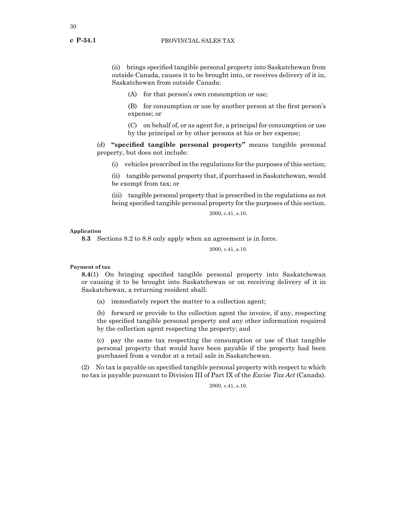(ii) brings specified tangible personal property into Saskatchewan from outside Canada, causes it to be brought into, or receives delivery of it in, Saskatchewan from outside Canada:

(A) for that person's own consumption or use;

(B) for consumption or use by another person at the first person's expense; or

(C) on behalf of, or as agent for, a principal for consumption or use by the principal or by other persons at his or her expense;

(d) **"specified tangible personal property"** means tangible personal property, but does not include:

(i) vehicles prescribed in the regulations for the purposes of this section;

(ii) tangible personal property that, if purchased in Saskatchewan, would be exempt from tax; or

(iii) tangible personal property that is prescribed in the regulations as not being specified tangible personal property for the purposes of this section.

2000, c.41, s.10.

#### **Application**

**8.3** Sections 8.2 to 8.8 only apply when an agreement is in force.

2000, c.41, s.10.

# **Payment of tax**

**8.4**(1) On bringing specified tangible personal property into Saskatchewan or causing it to be brought into Saskatchewan or on receiving delivery of it in Saskatchewan, a returning resident shall:

(a) immediately report the matter to a collection agent;

(b) forward or provide to the collection agent the invoice, if any, respecting the specified tangible personal property and any other information required by the collection agent respecting the property; and

(c) pay the same tax respecting the consumption or use of that tangible personal property that would have been payable if the property had been purchased from a vendor at a retail sale in Saskatchewan.

(2) No tax is payable on specified tangible personal property with respect to which no tax is payable pursuant to Division III of Part IX of the *Excise Tax Act* (Canada).

2000, c.41, s.10.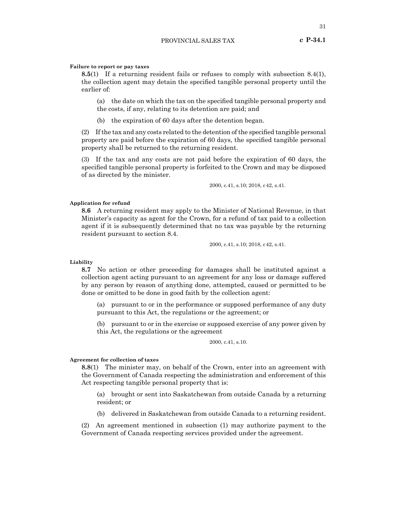#### **Failure to report or pay taxes**

**8.5**(1) If a returning resident fails or refuses to comply with subsection 8.4(1), the collection agent may detain the specified tangible personal property until the earlier of:

(a) the date on which the tax on the specified tangible personal property and the costs, if any, relating to its detention are paid; and

(b) the expiration of 60 days after the detention began.

(2) Ifthe tax and any costs related to the detention ofthe specified tangible personal property are paid before the expiration of 60 days, the specified tangible personal property shall be returned to the returning resident.

(3) If the tax and any costs are not paid before the expiration of 60 days, the specified tangible personal property is forfeited to the Crown and may be disposed of as directed by the minister.

2000, c.41, s.10; 2018, c42, s.41.

#### **Application for refund**

**8.6** A returning resident may apply to the Minister of National Revenue, in that Minister's capacity as agent for the Crown, for a refund of tax paid to a collection agent if it is subsequently determined that no tax was payable by the returning resident pursuant to section 8.4.

2000, c.41, s.10; 2018, c42, s.41.

#### **Liability**

**8.7** No action or other proceeding for damages shall be instituted against a collection agent acting pursuant to an agreement for any loss or damage suffered by any person by reason of anything done, attempted, caused or permitted to be done or omitted to be done in good faith by the collection agent:

(a) pursuant to or in the performance or supposed performance of any duty pursuant to this Act, the regulations or the agreement; or

(b) pursuant to or in the exercise or supposed exercise of any power given by this Act, the regulations or the agreement

#### 2000, c.41, s.10.

#### **Agreement for collection of taxes**

**8.8**(1) The minister may, on behalf of the Crown, enter into an agreement with the Government of Canada respecting the administration and enforcement of this Act respecting tangible personal property that is:

(a) brought or sent into Saskatchewan from outside Canada by a returning resident; or

(b) delivered in Saskatchewan from outside Canada to a returning resident.

(2) An agreement mentioned in subsection (1) may authorize payment to the Government of Canada respecting services provided under the agreement.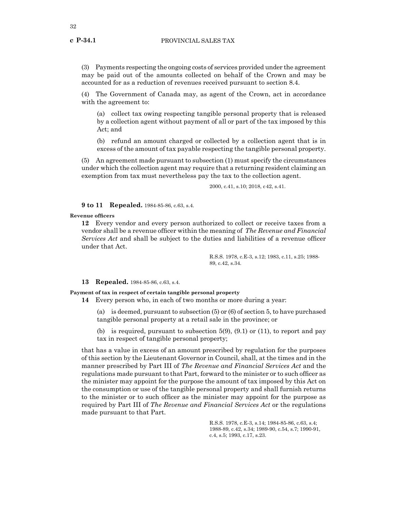(3) Payments respecting the ongoing costs of services provided under the agreement may be paid out of the amounts collected on behalf of the Crown and may be accounted for as a reduction of revenues received pursuant to section 8.4.

(4) The Government of Canada may, as agent of the Crown, act in accordance with the agreement to:

(a) collect tax owing respecting tangible personal property that is released by a collection agent without payment of all or part of the tax imposed by this Act; and

(b) refund an amount charged or collected by a collection agent that is in excess of the amount of tax payable respecting the tangible personal property.

(5) An agreement made pursuant to subsection (1) must specify the circumstances under which the collection agent may require that a returning resident claiming an exemption from tax must nevertheless pay the tax to the collection agent.

2000, c.41, s.10; 2018, c42, s.41.

**9 to 11 Repealed.** 1984-85-86, c.63, s.4.

#### **Revenue officers**

**12** Every vendor and every person authorized to collect or receive taxes from a vendor shall be a revenue officer within the meaning of *The Revenue and Financial Services Act* and shall be subject to the duties and liabilities of a revenue officer under that Act.

> R.S.S. 1978, c.E-3, s.12; 1983, c.11, s.25; 1988- 89, c.42, s.34.

#### **13 Repealed.** 1984-85-86, c.63, s.4.

**Payment of tax in respect of certain tangible personal property**

**14** Every person who, in each of two months or more during a year:

(a) is deemed, pursuant to subsection (5) or (6) of section 5, to have purchased tangible personal property at a retail sale in the province; or

(b) is required, pursuant to subsection  $5(9)$ ,  $(9.1)$  or  $(11)$ , to report and pay tax in respect of tangible personal property;

that has a value in excess of an amount prescribed by regulation for the purposes of this section by the Lieutenant Governor in Council, shall, at the times and in the manner prescribed by Part III of *The Revenue and Financial Services Act* and the regulations made pursuant to that Part, forward to the minister or to such officer as the minister may appoint for the purpose the amount of tax imposed by this Act on the consumption or use of the tangible personal property and shall furnish returns to the minister or to such officer as the minister may appoint for the purpose as required by Part III of *The Revenue and Financial Services Act* or the regulations made pursuant to that Part.

> R.S.S. 1978, c.E-3, s.14; 1984-85-86, c.63, s.4; 1988-89, c.42, s.34; 1989-90, c.54, s.7; 1990-91, c.4, s.5; 1993, c.17, s.23.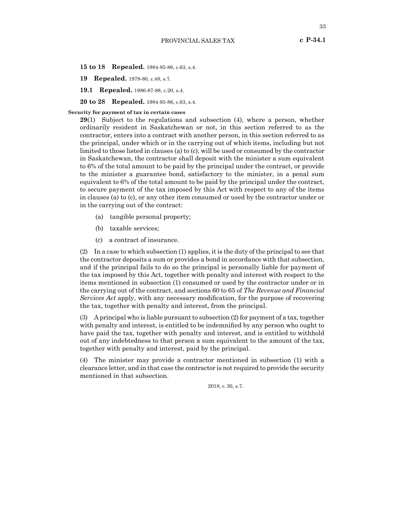**15 to 18 Repealed.** 1984-85-86, c.63, s.4.

**19 Repealed.** 1979-80, c.48, s.7.

**19.1 Repealed.** 1986-87-88, c.20, s.4.

**20 to 28 Repealed.** 1984-85-86, c.63, s.4.

#### **Security for payment of tax in certain cases**

**29**(1) Subject to the regulations and subsection (4), where a person, whether ordinarily resident in Saskatchewan or not, in this section referred to as the contractor, enters into a contract with another person, in this section referred to as the principal, under which or in the carrying out of which items, including but not limited to those listed in clauses (a) to (c), will be used or consumed by the contractor in Saskatchewan, the contractor shall deposit with the minister a sum equivalent to 6% of the total amount to be paid by the principal under the contract, or provide to the minister a guarantee bond, satisfactory to the minister, in a penal sum equivalent to 6% of the total amount to be paid by the principal under the contract, to secure payment of the tax imposed by this Act with respect to any of the items in clauses (a) to (c), or any other item consumed or used by the contractor under or in the carrying out of the contract:

- (a) tangible personal property;
- (b) taxable services;
- (c) a contract of insurance.

(2) In a case to which subsection (1) applies, it is the duty of the principal to see that the contractor deposits a sum or provides a bond in accordance with that subsection, and if the principal fails to do so the principal is personally liable for payment of the tax imposed by this Act, together with penalty and interest with respect to the items mentioned in subsection (1) consumed or used by the contractor under or in the carrying out of the contract, and sections 60 to 65 of *The Revenue and Financial Services Act* apply, with any necessary modification, for the purpose of recovering the tax, together with penalty and interest, from the principal.

(3) A principal who is liable pursuant to subsection (2) for payment of a tax, together with penalty and interest, is entitled to be indemnified by any person who ought to have paid the tax, together with penalty and interest, and is entitled to withhold out of any indebtedness to that person a sum equivalent to the amount of the tax, together with penalty and interest, paid by the principal.

(4) The minister may provide a contractor mentioned in subsection (1) with a clearance letter, and in that case the contractor is not required to provide the security mentioned in that subsection.

2018, c.30, s.7.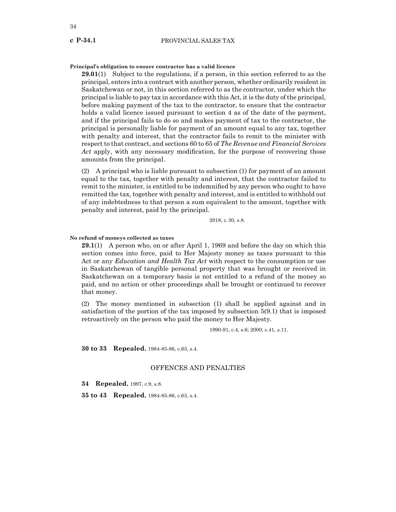#### **Principal's obligation to ensure contractor has a valid licence**

**29.01**(1) Subject to the regulations, if a person, in this section referred to as the principal, enters into a contract with another person, whether ordinarily resident in Saskatchewan or not, in this section referred to as the contractor, under which the principal is liable to pay tax in accordance with this Act, it is the duty of the principal, before making payment of the tax to the contractor, to ensure that the contractor holds a valid licence issued pursuant to section 4 as of the date of the payment, and if the principal fails to do so and makes payment of tax to the contractor, the principal is personally liable for payment of an amount equal to any tax, together with penalty and interest, that the contractor fails to remit to the minister with respect to that contract, and sections 60 to 65 of *The Revenue and Financial Services Act* apply, with any necessary modification, for the purpose of recovering those amounts from the principal.

(2) A principal who is liable pursuant to subsection (1) for payment of an amount equal to the tax, together with penalty and interest, that the contractor failed to remit to the minister, is entitled to be indemnified by any person who ought to have remitted the tax, together with penalty and interest, and is entitled to withhold out of any indebtedness to that person a sum equivalent to the amount, together with penalty and interest, paid by the principal.

2018, c.30, s.8.

#### **No refund of moneys collected as taxes**

**29.1**(1) A person who, on or after April 1, 1969 and before the day on which this section comes into force, paid to Her Majesty money as taxes pursuant to this Act or any *Education and Health Tax Act* with respect to the consumption or use in Saskatchewan of tangible personal property that was brought or received in Saskatchewan on a temporary basis is not entitled to a refund of the money so paid, and no action or other proceedings shall be brought or continued to recover that money.

(2) The money mentioned in subsection (1) shall be applied against and in satisfaction of the portion of the tax imposed by subsection 5(9.1) that is imposed retroactively on the person who paid the money to Her Majesty.

1990-91, c.4, s.6; 2000, c.41, s.11.

**30 to 33 Repealed.** 1984-85-86, c.63, s.4.

#### OFFENCES AND PENALTIES

**34 Repealed.** 1997, c.9, s.8.

**35 to 43 Repealed.** 1984-85-86, c.63, s.4.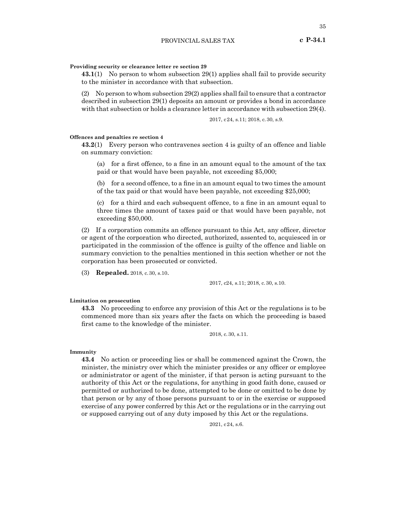#### **Providing security or clearance letter re section 29**

**43.1**(1) No person to whom subsection 29(1) applies shall fail to provide security to the minister in accordance with that subsection.

(2) No person to whom subsection 29(2) applies shall fail to ensure that a contractor described in subsection 29(1) deposits an amount or provides a bond in accordance with that subsection or holds a clearance letter in accordance with subsection 29(4).

2017, c24, s.11; 2018, c.30, s.9.

#### **Offences and penalties re section 4**

**43.2**(1) Every person who contravenes section 4 is guilty of an offence and liable on summary conviction:

(a) for a first offence, to a fine in an amount equal to the amount of the tax paid or that would have been payable, not exceeding \$5,000;

(b) for a second offence, to a fine in an amount equal to two times the amount of the tax paid or that would have been payable, not exceeding \$25,000;

(c) for a third and each subsequent offence, to a fine in an amount equal to three times the amount of taxes paid or that would have been payable, not exceeding \$50,000.

(2) If a corporation commits an offence pursuant to this Act, any officer, director or agent of the corporation who directed, authorized, assented to, acquiesced in or participated in the commission of the offence is guilty of the offence and liable on summary conviction to the penalties mentioned in this section whether or not the corporation has been prosecuted or convicted.

(3) **Repealed.** 2018, c.30, s.10.

2017, c24, s.11; 2018, c.30, s.10.

#### **Limitation on prosecution**

**43.3** No proceeding to enforce any provision of this Act or the regulations is to be commenced more than six years after the facts on which the proceeding is based first came to the knowledge of the minister.

2018, c.30, s.11.

**Immunity**

**43.4** No action or proceeding lies or shall be commenced against the Crown, the minister, the ministry over which the minister presides or any officer or employee or administrator or agent of the minister, if that person is acting pursuant to the authority of this Act or the regulations, for anything in good faith done, caused or permitted or authorized to be done, attempted to be done or omitted to be done by that person or by any of those persons pursuant to or in the exercise or supposed exercise of any power conferred by this Act or the regulations or in the carrying out or supposed carrying out of any duty imposed by this Act or the regulations.

2021, c24, s.6.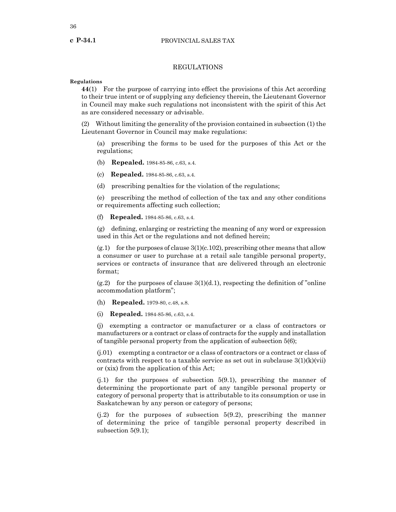#### PROVINCIAL SALES TAX

## REGULATIONS

#### **Regulations**

**44**(1) For the purpose of carrying into effect the provisions of this Act according to their true intent or of supplying any deficiency therein, the Lieutenant Governor in Council may make such regulations not inconsistent with the spirit of this Act as are considered necessary or advisable.

(2) Without limiting the generality of the provision contained in subsection (1) the Lieutenant Governor in Council may make regulations:

(a) prescribing the forms to be used for the purposes of this Act or the regulations;

- (b) **Repealed.** 1984-85-86, c.63, s.4.
- (c) **Repealed.** 1984-85-86, c.63, s.4.
- (d) prescribing penalties for the violation of the regulations;

(e) prescribing the method of collection of the tax and any other conditions or requirements affecting such collection;

(f) **Repealed.** 1984-85-86, c.63, s.4.

(g) defining, enlarging or restricting the meaning of any word or expression used in this Act or the regulations and not defined herein;

 $(g.1)$  for the purposes of clause  $3(1)(c.102)$ , prescribing other means that allow a consumer or user to purchase at a retail sale tangible personal property, services or contracts of insurance that are delivered through an electronic format;

 $(g.2)$  for the purposes of clause  $3(1)(d.1)$ , respecting the definition of "online" accommodation platform";

- (h) **Repealed.** 1979-80, c.48, s.8.
- (i) **Repealed.** 1984-85-86, c.63, s.4.

(j) exempting a contractor or manufacturer or a class of contractors or manufacturers or a contract or class of contracts for the supply and installation of tangible personal property from the application of subsection 5(6);

(j.01) exempting a contractor or a class of contractors or a contract or class of contracts with respect to a taxable service as set out in subclause  $3(1)(k)(vii)$ or (xix) from the application of this Act;

(j.1) for the purposes of subsection 5(9.1), prescribing the manner of determining the proportionate part of any tangible personal property or category of personal property that is attributable to its consumption or use in Saskatchewan by any person or category of persons;

(j.2) for the purposes of subsection 5(9.2), prescribing the manner of determining the price of tangible personal property described in subsection 5(9.1);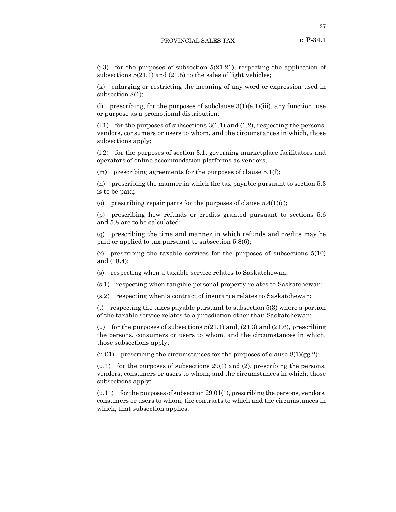$(j.3)$  for the purposes of subsection  $5(21.21)$ , respecting the application of subsections  $5(21.1)$  and  $(21.5)$  to the sales of light vehicles;

(k) enlarging or restricting the meaning of any word or expression used in subsection 8(1);

(l) prescribing, for the purposes of subclause  $3(1)(e.1)(iii)$ , any function, use or purpose as a promotional distribution;

 $(1.1)$  for the purposes of subsections  $3(1.1)$  and  $(1.2)$ , respecting the persons, vendors, consumers or users to whom, and the circumstances in which, those subsections apply;

(l.2) for the purposes of section 3.1, governing marketplace facilitators and operators of online accommodation platforms as vendors;

(m) prescribing agreements for the purposes of clause  $5.1(f)$ ;

(n) prescribing the manner in which the tax payable pursuant to section 5.3 is to be paid;

(o) prescribing repair parts for the purposes of clause  $5.4(1)(c)$ ;

(p) prescribing how refunds or credits granted pursuant to sections 5.6 and 5.8 are to be calculated;

(q) prescribing the time and manner in which refunds and credits may be paid or applied to tax pursuant to subsection 5.8(6);

(r) prescribing the taxable services for the purposes of subsections 5(10) and (10.4);

(s) respecting when a taxable service relates to Saskatchewan;

(s.1) respecting when tangible personal property relates to Saskatchewan;

(s.2) respecting when a contract of insurance relates to Saskatchewan;

(t) respecting the taxes payable pursuant to subsection 5(3) where a portion of the taxable service relates to a jurisdiction other than Saskatchewan;

(u) for the purposes of subsections  $5(21.1)$  and,  $(21.3)$  and  $(21.6)$ , prescribing the persons, consumers or users to whom, and the circumstances in which, those subsections apply;

(u.01) prescribing the circumstances for the purposes of clause  $8(1)(gg.2)$ ;

(u.1) for the purposes of subsections 29(1) and (2), prescribing the persons, vendors, consumers or users to whom, and the circumstances in which, those subsections apply;

 $(u.11)$  for the purposes of subsection 29.01(1), prescribing the persons, vendors, consumers or users to whom, the contracts to which and the circumstances in which, that subsection applies;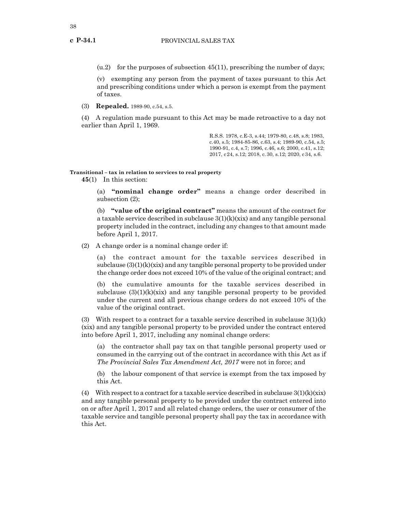$(u.2)$  for the purposes of subsection 45(11), prescribing the number of days;

(v) exempting any person from the payment of taxes pursuant to this Act and prescribing conditions under which a person is exempt from the payment of taxes.

(3) **Repealed.** 1989-90, c.54, s.5.

(4) A regulation made pursuant to this Act may be made retroactive to a day not earlier than April 1, 1969.

> R.S.S. 1978, c.E-3, s.44; 1979-80, c.48, s.8; 1983, c.40, s.5; 1984-85-86, c.63, s.4; 1989-90, c.54, s.5; 1990-91, c.4, s.7; 1996, c.46, s.6; 2000, c.41, s.12; 2017, c24, s.12; 2018, c.30, s.12; 2020, c34, s.6.

**Transitional – tax in relation to services to real property**

**45**(1) In this section:

(a) **"nominal change order"** means a change order described in subsection (2);

(b) **"value of the original contract"** means the amount of the contract for a taxable service described in subclause  $3(1)(k)(xix)$  and any tangible personal property included in the contract, including any changes to that amount made before April 1, 2017.

(2) A change order is a nominal change order if:

(a) the contract amount for the taxable services described in subclause  $(3)(1)(k)(xix)$  and any tangible personal property to be provided under the change order does not exceed 10% of the value of the original contract; and

(b) the cumulative amounts for the taxable services described in subclause  $(3)(1)(k)(xix)$  and any tangible personal property to be provided under the current and all previous change orders do not exceed 10% of the value of the original contract.

(3) With respect to a contract for a taxable service described in subclause  $3(1)(k)$ (xix) and any tangible personal property to be provided under the contract entered into before April 1, 2017, including any nominal change orders:

(a) the contractor shall pay tax on that tangible personal property used or consumed in the carrying out of the contract in accordance with this Act as if *The Provincial Sales Tax Amendment Act, 2017* were not in force; and

(b) the labour component of that service is exempt from the tax imposed by this Act.

(4) With respect to a contract for a taxable service described in subclause  $3(1)(k)(xix)$ and any tangible personal property to be provided under the contract entered into on or after April 1, 2017 and all related change orders, the user or consumer of the taxable service and tangible personal property shall pay the tax in accordance with this Act.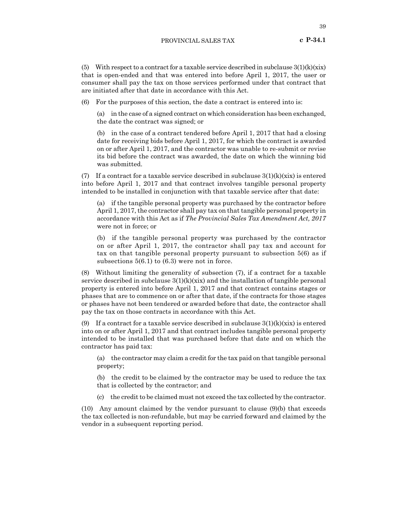(5) With respect to a contract for a taxable service described in subclause  $3(1)(k)(xix)$ that is open-ended and that was entered into before April 1, 2017, the user or consumer shall pay the tax on those services performed under that contract that are initiated after that date in accordance with this Act.

For the purposes of this section, the date a contract is entered into is:

(a) in the case of a signed contract on which consideration has been exchanged, the date the contract was signed; or

(b) in the case of a contract tendered before April 1, 2017 that had a closing date for receiving bids before April 1, 2017, for which the contract is awarded on or after April 1, 2017, and the contractor was unable to re-submit or revise its bid before the contract was awarded, the date on which the winning bid was submitted.

(7) If a contract for a taxable service described in subclause  $3(1)(k)(xix)$  is entered into before April 1, 2017 and that contract involves tangible personal property intended to be installed in conjunction with that taxable service after that date:

(a) if the tangible personal property was purchased by the contractor before April 1, 2017, the contractor shall pay tax on that tangible personal property in accordance with this Act as if *The Provincial Sales Tax Amendment Act, 2017* were not in force; or

(b) if the tangible personal property was purchased by the contractor on or after April 1, 2017, the contractor shall pay tax and account for tax on that tangible personal property pursuant to subsection 5(6) as if subsections 5(6.1) to (6.3) were not in force.

(8) Without limiting the generality of subsection (7), if a contract for a taxable service described in subclause  $3(1)(k)(xix)$  and the installation of tangible personal property is entered into before April 1, 2017 and that contract contains stages or phases that are to commence on or after that date, if the contracts for those stages or phases have not been tendered or awarded before that date, the contractor shall pay the tax on those contracts in accordance with this Act.

(9) If a contract for a taxable service described in subclause  $3(1)(k)(xix)$  is entered into on or after April 1, 2017 and that contract includes tangible personal property intended to be installed that was purchased before that date and on which the contractor has paid tax:

(a) the contractor may claim a credit for the tax paid on that tangible personal property;

(b) the credit to be claimed by the contractor may be used to reduce the tax that is collected by the contractor; and

(c) the credit to be claimed must not exceed the tax collected by the contractor.

(10) Any amount claimed by the vendor pursuant to clause (9)(b) that exceeds the tax collected is non-refundable, but may be carried forward and claimed by the vendor in a subsequent reporting period.